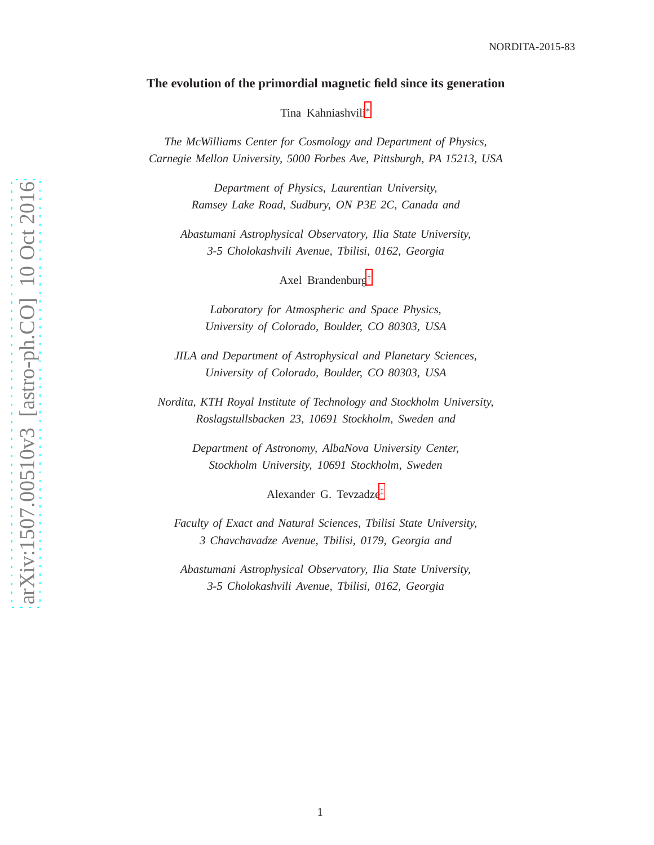# **The evolution of the primordial magnetic field since its generation**

Tina Kahniashvili[∗](#page-1-0)

*The McWilliams Center for Cosmology and Department of Physics, Carnegie Mellon University, 5000 Forbes Ave, Pittsburgh, PA 15213, USA*

> *Department of Physics, Laurentian University, Ramsey Lake Road, Sudbury, ON P3E 2C, Canada and*

*Abastumani Astrophysical Observatory, Ilia State University, 3-5 Cholokashvili Avenue, Tbilisi, 0162, Georgia*

Axel Brandenburg[†](#page-1-1)

*Laboratory for Atmospheric and Space Physics, University of Colorado, Boulder, CO 80303, USA*

*JILA and Department of Astrophysical and Planetary Sciences, University of Colorado, Boulder, CO 80303, USA*

*Nordita, KTH Royal Institute of Technology and Stockholm University, Roslagstullsbacken 23, 10691 Stockholm, Sweden and*

> *Department of Astronomy, AlbaNova University Center, Stockholm University, 10691 Stockholm, Sweden*

> > Alexander G. Tevzadze[‡](#page-1-2)

*Faculty of Exact and Natural Sciences, Tbilisi State University, 3 Chavchavadze Avenue, Tbilisi, 0179, Georgia and*

*Abastumani Astrophysical Observatory, Ilia State University, 3-5 Cholokashvili Avenue, Tbilisi, 0162, Georgia*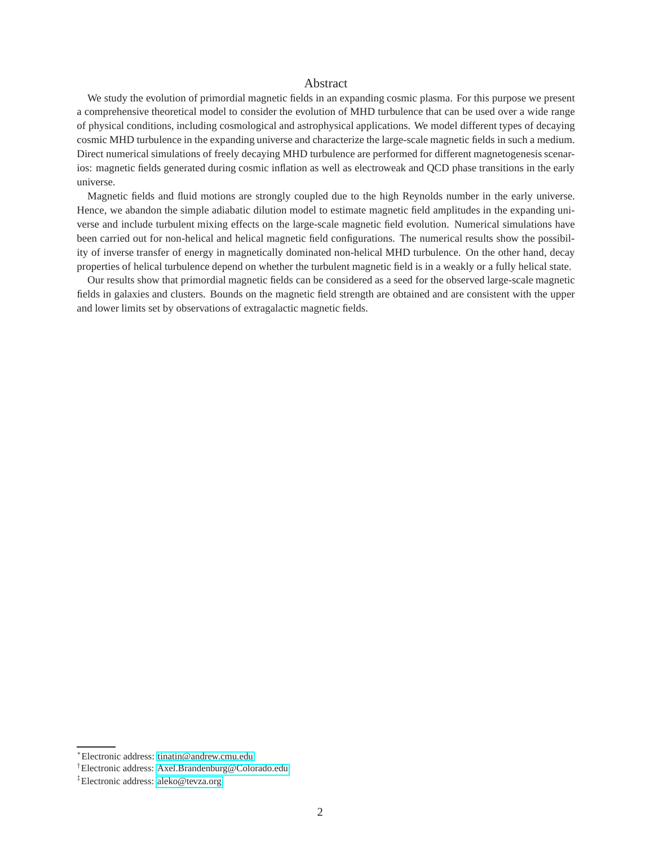# Abstract

We study the evolution of primordial magnetic fields in an expanding cosmic plasma. For this purpose we present a comprehensive theoretical model to consider the evolution of MHD turbulence that can be used over a wide range of physical conditions, including cosmological and astrophysical applications. We model different types of decaying cosmic MHD turbulence in the expanding universe and characterize the large-scale magnetic fields in such a medium. Direct numerical simulations of freely decaying MHD turbulence are performed for different magnetogenesis scenarios: magnetic fields generated during cosmic inflation as well as electroweak and QCD phase transitions in the early universe.

Magnetic fields and fluid motions are strongly coupled due to the high Reynolds number in the early universe. Hence, we abandon the simple adiabatic dilution model to estimate magnetic field amplitudes in the expanding universe and include turbulent mixing effects on the large-scale magnetic field evolution. Numerical simulations have been carried out for non-helical and helical magnetic field configurations. The numerical results show the possibility of inverse transfer of energy in magnetically dominated non-helical MHD turbulence. On the other hand, decay properties of helical turbulence depend on whether the turbulent magnetic field is in a weakly or a fully helical state.

Our results show that primordial magnetic fields can be considered as a seed for the observed large-scale magnetic fields in galaxies and clusters. Bounds on the magnetic field strength are obtained and are consistent with the upper and lower limits set by observations of extragalactic magnetic fields.

<span id="page-1-0"></span><sup>∗</sup>Electronic address: [tinatin@andrew.cmu.edu](mailto:tinatin@andrew.cmu.edu)

<span id="page-1-1"></span><sup>†</sup>Electronic address: [Axel.Brandenburg@Colorado.edu](mailto:Axel.Brandenburg@Colorado.edu)

<span id="page-1-2"></span><sup>‡</sup>Electronic address: [aleko@tevza.org](mailto:aleko@tevza.org)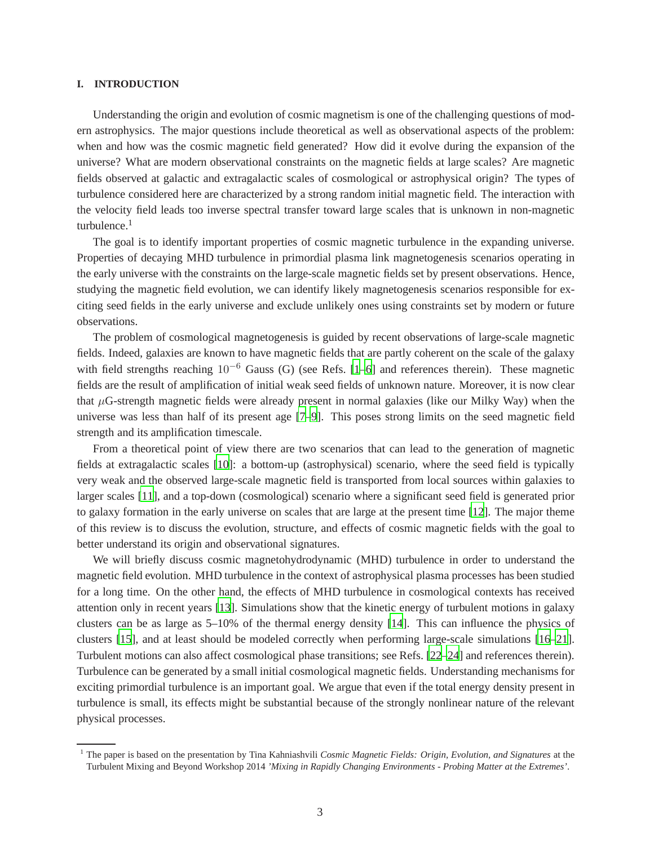### **I. INTRODUCTION**

Understanding the origin and evolution of cosmic magnetism is one of the challenging questions of modern astrophysics. The major questions include theoretical as well as observational aspects of the problem: when and how was the cosmic magnetic field generated? How did it evolve during the expansion of the universe? What are modern observational constraints on the magnetic fields at large scales? Are magnetic fields observed at galactic and extragalactic scales of cosmological or astrophysical origin? The types of turbulence considered here are characterized by a strong random initial magnetic field. The interaction with the velocity field leads too inverse spectral transfer toward large scales that is unknown in non-magnetic turbulence.<sup>1</sup>

The goal is to identify important properties of cosmic magnetic turbulence in the expanding universe. Properties of decaying MHD turbulence in primordial plasma link magnetogenesis scenarios operating in the early universe with the constraints on the large-scale magnetic fields set by present observations. Hence, studying the magnetic field evolution, we can identify likely magnetogenesis scenarios responsible for exciting seed fields in the early universe and exclude unlikely ones using constraints set by modern or future observations.

The problem of cosmological magnetogenesis is guided by recent observations of large-scale magnetic fields. Indeed, galaxies are known to have magnetic fields that are partly coherent on the scale of the galaxy with field strengths reaching 10<sup>-6</sup> Gauss (G) (see Refs. [\[1](#page-13-0)[–6](#page-14-0)] and references therein). These magnetic fields are the result of amplification of initial weak seed fields of unknown nature. Moreover, it is now clear that  $\mu$ G-strength magnetic fields were already present in normal galaxies (like our Milky Way) when the universe was less than half of its present age [\[7](#page-14-1)[–9\]](#page-14-2). This poses strong limits on the seed magnetic field strength and its amplification timescale.

From a theoretical point of view there are two scenarios that can lead to the generation of magnetic fields at extragalactic scales [\[10](#page-14-3)]: a bottom-up (astrophysical) scenario, where the seed field is typically very weak and the observed large-scale magnetic field is transported from local sources within galaxies to larger scales [\[11\]](#page-14-4), and a top-down (cosmological) scenario where a significant seed field is generated prior to galaxy formation in the early universe on scales that are large at the present time [\[12](#page-14-5)]. The major theme of this review is to discuss the evolution, structure, and effects of cosmic magnetic fields with the goal to better understand its origin and observational signatures.

We will briefly discuss cosmic magnetohydrodynamic (MHD) turbulence in order to understand the magnetic field evolution. MHD turbulence in the context of astrophysical plasma processes has been studied for a long time. On the other hand, the effects of MHD turbulence in cosmological contexts has received attention only in recent years [\[13](#page-14-6)]. Simulations show that the kinetic energy of turbulent motions in galaxy clusters can be as large as 5–10% of the thermal energy density [\[14](#page-14-7)]. This can influence the physics of clusters [\[15](#page-14-8)], and at least should be modeled correctly when performing large-scale simulations [\[16](#page-14-9)[–21\]](#page-14-10). Turbulent motions can also affect cosmological phase transitions; see Refs. [\[22](#page-14-11)[–24](#page-14-12)] and references therein). Turbulence can be generated by a small initial cosmological magnetic fields. Understanding mechanisms for exciting primordial turbulence is an important goal. We argue that even if the total energy density present in turbulence is small, its effects might be substantial because of the strongly nonlinear nature of the relevant physical processes.

<sup>&</sup>lt;sup>1</sup> The paper is based on the presentation by Tina Kahniashvili *Cosmic Magnetic Fields: Origin, Evolution, and Signatures* at the Turbulent Mixing and Beyond Workshop 2014 *'Mixing in Rapidly Changing Environments - Probing Matter at the Extremes'*.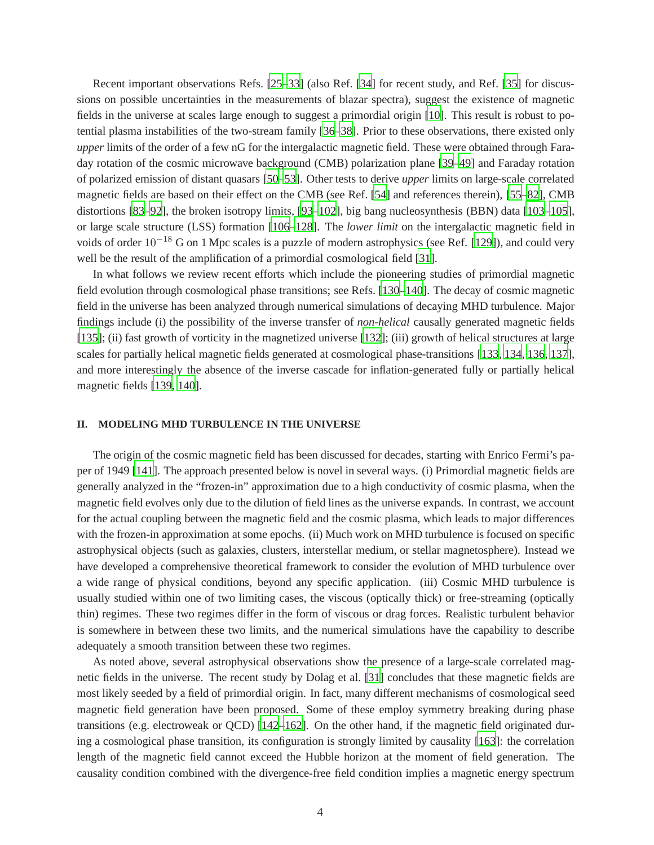Recent important observations Refs. [\[25](#page-14-13)[–33\]](#page-14-14) (also Ref. [\[34](#page-14-15)] for recent study, and Ref. [\[35\]](#page-14-16) for discussions on possible uncertainties in the measurements of blazar spectra), suggest the existence of magnetic fields in the universe at scales large enough to suggest a primordial origin [\[10](#page-14-3)]. This result is robust to potential plasma instabilities of the two-stream family [\[36](#page-14-17)[–38\]](#page-14-18). Prior to these observations, there existed only *upper* limits of the order of a few nG for the intergalactic magnetic field. These were obtained through Faraday rotation of the cosmic microwave background (CMB) polarization plane [\[39](#page-14-19)[–49](#page-15-0)] and Faraday rotation of polarized emission of distant quasars [\[50](#page-15-1)[–53](#page-15-2)]. Other tests to derive *upper* limits on large-scale correlated magnetic fields are based on their effect on the CMB (see Ref. [\[54\]](#page-15-3) and references therein), [\[55](#page-15-4)[–82\]](#page-15-5), CMB distortions [\[83](#page-15-6)[–92\]](#page-15-7), the broken isotropy limits, [\[93](#page-15-8)[–102](#page-16-0)], big bang nucleosynthesis (BBN) data [\[103](#page-16-1)[–105\]](#page-16-2), or large scale structure (LSS) formation [\[106](#page-16-3)[–128](#page-16-4)]. The *lower limit* on the intergalactic magnetic field in voids of order  $10^{-18}$  G on 1 Mpc scales is a puzzle of modern astrophysics (see Ref. [\[129](#page-16-5)]), and could very well be the result of the amplification of a primordial cosmological field [\[31](#page-14-20)].

In what follows we review recent efforts which include the pioneering studies of primordial magnetic field evolution through cosmological phase transitions; see Refs. [\[130](#page-16-6)[–140](#page-16-7)]. The decay of cosmic magnetic field in the universe has been analyzed through numerical simulations of decaying MHD turbulence. Major findings include (i) the possibility of the inverse transfer of *non-helical* causally generated magnetic fields [\[135](#page-16-8)]; (ii) fast growth of vorticity in the magnetized universe [\[132](#page-16-9)]; (iii) growth of helical structures at large scales for partially helical magnetic fields generated at cosmological phase-transitions [\[133](#page-16-10), [134,](#page-16-11) [136](#page-16-12), [137\]](#page-16-13), and more interestingly the absence of the inverse cascade for inflation-generated fully or partially helical magnetic fields [\[139](#page-16-14), [140\]](#page-16-7).

## **II. MODELING MHD TURBULENCE IN THE UNIVERSE**

The origin of the cosmic magnetic field has been discussed for decades, starting with Enrico Fermi's paper of 1949 [\[141\]](#page-16-15). The approach presented below is novel in several ways. (i) Primordial magnetic fields are generally analyzed in the "frozen-in" approximation due to a high conductivity of cosmic plasma, when the magnetic field evolves only due to the dilution of field lines as the universe expands. In contrast, we account for the actual coupling between the magnetic field and the cosmic plasma, which leads to major differences with the frozen-in approximation at some epochs. (ii) Much work on MHD turbulence is focused on specific astrophysical objects (such as galaxies, clusters, interstellar medium, or stellar magnetosphere). Instead we have developed a comprehensive theoretical framework to consider the evolution of MHD turbulence over a wide range of physical conditions, beyond any specific application. (iii) Cosmic MHD turbulence is usually studied within one of two limiting cases, the viscous (optically thick) or free-streaming (optically thin) regimes. These two regimes differ in the form of viscous or drag forces. Realistic turbulent behavior is somewhere in between these two limits, and the numerical simulations have the capability to describe adequately a smooth transition between these two regimes.

As noted above, several astrophysical observations show the presence of a large-scale correlated magnetic fields in the universe. The recent study by Dolag et al. [\[31\]](#page-14-20) concludes that these magnetic fields are most likely seeded by a field of primordial origin. In fact, many different mechanisms of cosmological seed magnetic field generation have been proposed. Some of these employ symmetry breaking during phase transitions (e.g. electroweak or QCD) [\[142](#page-16-16)[–162](#page-17-0)]. On the other hand, if the magnetic field originated during a cosmological phase transition, its configuration is strongly limited by causality [\[163](#page-17-1)]: the correlation length of the magnetic field cannot exceed the Hubble horizon at the moment of field generation. The causality condition combined with the divergence-free field condition implies a magnetic energy spectrum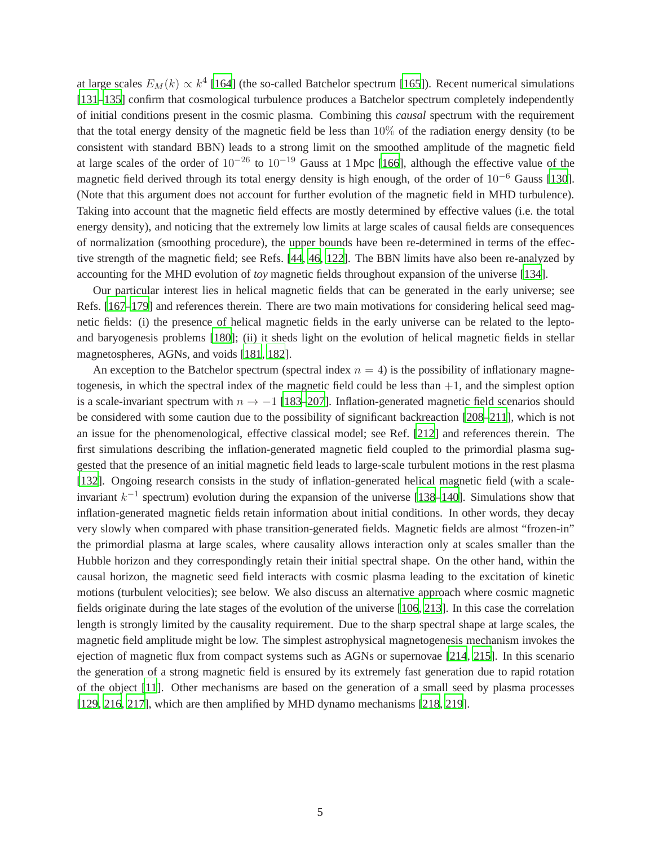at large scales  $E_M(k) \propto k^4$  [\[164](#page-17-2)] (the so-called Batchelor spectrum [\[165](#page-17-3)]). Recent numerical simulations [\[131](#page-16-17)[–135\]](#page-16-8) confirm that cosmological turbulence produces a Batchelor spectrum completely independently of initial conditions present in the cosmic plasma. Combining this *causal* spectrum with the requirement that the total energy density of the magnetic field be less than  $10\%$  of the radiation energy density (to be consistent with standard BBN) leads to a strong limit on the smoothed amplitude of the magnetic field at large scales of the order of  $10^{-26}$  to  $10^{-19}$  Gauss at 1 Mpc [\[166](#page-17-4)], although the effective value of the magnetic field derived through its total energy density is high enough, of the order of 10−<sup>6</sup> Gauss [\[130\]](#page-16-6). (Note that this argument does not account for further evolution of the magnetic field in MHD turbulence). Taking into account that the magnetic field effects are mostly determined by effective values (i.e. the total energy density), and noticing that the extremely low limits at large scales of causal fields are consequences of normalization (smoothing procedure), the upper bounds have been re-determined in terms of the effective strength of the magnetic field; see Refs. [\[44](#page-14-21), [46](#page-14-22), [122](#page-16-18)]. The BBN limits have also been re-analyzed by accounting for the MHD evolution of *toy* magnetic fields throughout expansion of the universe [\[134](#page-16-11)].

Our particular interest lies in helical magnetic fields that can be generated in the early universe; see Refs. [\[167](#page-17-5)[–179](#page-17-6)] and references therein. There are two main motivations for considering helical seed magnetic fields: (i) the presence of helical magnetic fields in the early universe can be related to the leptoand baryogenesis problems [\[180](#page-17-7)]; (ii) it sheds light on the evolution of helical magnetic fields in stellar magnetospheres, AGNs, and voids [\[181](#page-17-8), [182](#page-17-9)].

An exception to the Batchelor spectrum (spectral index  $n = 4$ ) is the possibility of inflationary magnetogenesis, in which the spectral index of the magnetic field could be less than  $+1$ , and the simplest option is a scale-invariant spectrum with  $n \to -1$  [\[183](#page-17-10)[–207](#page-18-0)]. Inflation-generated magnetic field scenarios should be considered with some caution due to the possibility of significant backreaction [\[208](#page-18-1)[–211\]](#page-18-2), which is not an issue for the phenomenological, effective classical model; see Ref. [\[212](#page-18-3)] and references therein. The first simulations describing the inflation-generated magnetic field coupled to the primordial plasma suggested that the presence of an initial magnetic field leads to large-scale turbulent motions in the rest plasma [\[132](#page-16-9)]. Ongoing research consists in the study of inflation-generated helical magnetic field (with a scaleinvariant  $k^{-1}$  spectrum) evolution during the expansion of the universe [\[138](#page-16-19)[–140\]](#page-16-7). Simulations show that inflation-generated magnetic fields retain information about initial conditions. In other words, they decay very slowly when compared with phase transition-generated fields. Magnetic fields are almost "frozen-in" the primordial plasma at large scales, where causality allows interaction only at scales smaller than the Hubble horizon and they correspondingly retain their initial spectral shape. On the other hand, within the causal horizon, the magnetic seed field interacts with cosmic plasma leading to the excitation of kinetic motions (turbulent velocities); see below. We also discuss an alternative approach where cosmic magnetic fields originate during the late stages of the evolution of the universe [\[106](#page-16-3), [213\]](#page-18-4). In this case the correlation length is strongly limited by the causality requirement. Due to the sharp spectral shape at large scales, the magnetic field amplitude might be low. The simplest astrophysical magnetogenesis mechanism invokes the ejection of magnetic flux from compact systems such as AGNs or supernovae [\[214](#page-18-5), [215\]](#page-18-6). In this scenario the generation of a strong magnetic field is ensured by its extremely fast generation due to rapid rotation of the object [\[11](#page-14-4)]. Other mechanisms are based on the generation of a small seed by plasma processes [\[129](#page-16-5), [216,](#page-18-7) [217](#page-18-8)], which are then amplified by MHD dynamo mechanisms [\[218,](#page-18-9) [219\]](#page-18-10).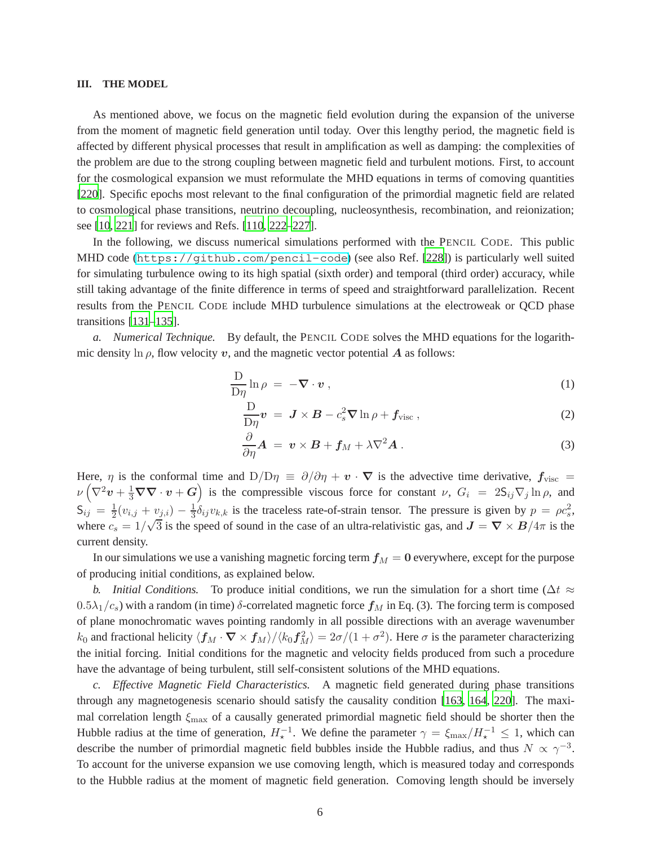#### **III. THE MODEL**

As mentioned above, we focus on the magnetic field evolution during the expansion of the universe from the moment of magnetic field generation until today. Over this lengthy period, the magnetic field is affected by different physical processes that result in amplification as well as damping: the complexities of the problem are due to the strong coupling between magnetic field and turbulent motions. First, to account for the cosmological expansion we must reformulate the MHD equations in terms of comoving quantities [\[220](#page-18-11)]. Specific epochs most relevant to the final configuration of the primordial magnetic field are related to cosmological phase transitions, neutrino decoupling, nucleosynthesis, recombination, and reionization; see [\[10](#page-14-3), [221](#page-18-12)] for reviews and Refs. [\[110,](#page-16-20) [222](#page-18-13)[–227](#page-18-14)].

In the following, we discuss numerical simulations performed with the PENCIL CODE. This public MHD code (<https://github.com/pencil-code>) (see also Ref. [\[228](#page-18-15)]) is particularly well suited for simulating turbulence owing to its high spatial (sixth order) and temporal (third order) accuracy, while still taking advantage of the finite difference in terms of speed and straightforward parallelization. Recent results from the PENCIL CODE include MHD turbulence simulations at the electroweak or QCD phase transitions [\[131](#page-16-17)[–135](#page-16-8)].

*a. Numerical Technique.* By default, the PENCIL CODE solves the MHD equations for the logarithmic density ln  $\rho$ , flow velocity v, and the magnetic vector potential A as follows:

$$
\frac{\mathcal{D}}{\mathcal{D}\eta}\ln\rho\ =\ -\boldsymbol{\nabla}\cdot\boldsymbol{v}\,,\tag{1}
$$

$$
\frac{\mathcal{D}}{\mathcal{D}\eta}\boldsymbol{v} = \boldsymbol{J} \times \boldsymbol{B} - c_s^2 \boldsymbol{\nabla} \ln \rho + \boldsymbol{f}_{\text{visc}}\,,\tag{2}
$$

$$
\frac{\partial}{\partial \eta} \mathbf{A} = \mathbf{v} \times \mathbf{B} + \mathbf{f}_M + \lambda \nabla^2 \mathbf{A} \,. \tag{3}
$$

Here,  $\eta$  is the conformal time and  $D/D\eta \equiv \partial/\partial \eta + v \cdot \nabla$  is the advective time derivative,  $f_{\text{visc}} =$  $\nu\left(\nabla^2 v + \frac{1}{3}\nabla\nabla\cdot v + G\right)$  is the compressible viscous force for constant  $\nu$ ,  $G_i = 2S_{ij}\nabla_j \ln \rho$ , and  $\mathsf{S}_{ij} = \frac{1}{2}$  $\frac{1}{2}(v_{i,j} + v_{j,i}) - \frac{1}{3}$  $\frac{1}{3}\delta_{ij}v_{k,k}$  is the traceless rate-of-strain tensor. The pressure is given by  $p = \rho c_s^2$ , where  $c_s = 1/\sqrt{3}$  is the speed of sound in the case of an ultra-relativistic gas, and  $J = \nabla \times B/4\pi$  is the current density.

In our simulations we use a vanishing magnetic forcing term  $f_M = 0$  everywhere, except for the purpose of producing initial conditions, as explained below.

*b. Initial Conditions.* To produce initial conditions, we run the simulation for a short time ( $\Delta t \approx$  $0.5\lambda_1/c_s$ ) with a random (in time)  $\delta$ -correlated magnetic force  $f_M$  in Eq. (3). The forcing term is composed of plane monochromatic waves pointing randomly in all possible directions with an average wavenumber  $k_0$  and fractional helicity  $\langle f_M \cdot \nabla \times f_M \rangle / \langle k_0 f_M^2 \rangle = 2\sigma/(1+\sigma^2)$ . Here  $\sigma$  is the parameter characterizing the initial forcing. Initial conditions for the magnetic and velocity fields produced from such a procedure have the advantage of being turbulent, still self-consistent solutions of the MHD equations.

*c. Effective Magnetic Field Characteristics.* A magnetic field generated during phase transitions through any magnetogenesis scenario should satisfy the causality condition [\[163](#page-17-1), [164,](#page-17-2) [220\]](#page-18-11). The maximal correlation length  $\xi_{\text{max}}$  of a causally generated primordial magnetic field should be shorter then the Hubble radius at the time of generation,  $H_{\star}^{-1}$ . We define the parameter  $\gamma = \xi_{\text{max}}/H_{\star}^{-1} \leq 1$ , which can describe the number of primordial magnetic field bubbles inside the Hubble radius, and thus  $N \propto \gamma^{-3}$ . To account for the universe expansion we use comoving length, which is measured today and corresponds to the Hubble radius at the moment of magnetic field generation. Comoving length should be inversely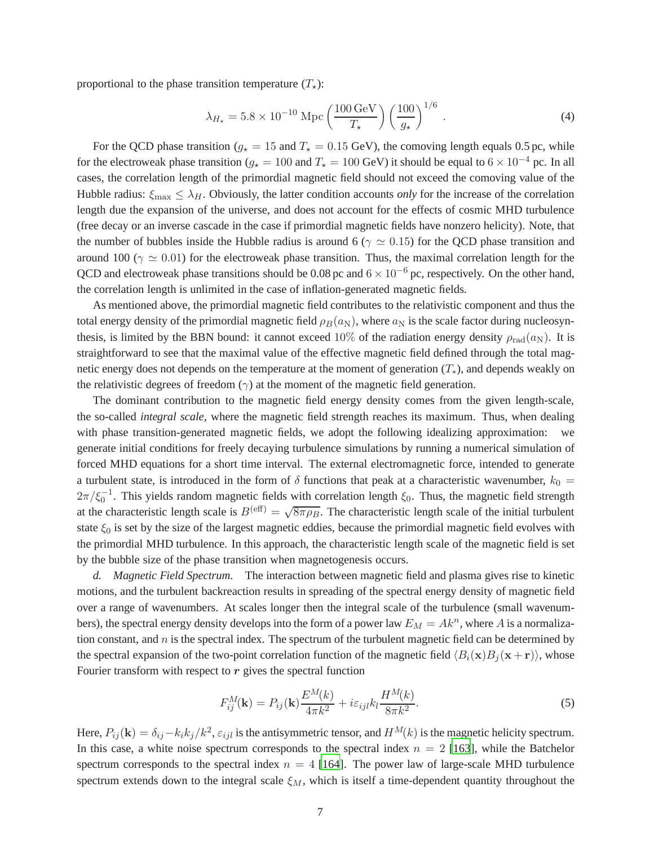proportional to the phase transition temperature  $(T_*)$ :

$$
\lambda_{H_{\star}} = 5.8 \times 10^{-10} \, \text{Mpc} \left( \frac{100 \, \text{GeV}}{T_{\star}} \right) \left( \frac{100}{g_{\star}} \right)^{1/6} \, . \tag{4}
$$

For the QCD phase transition ( $g<sub>★</sub> = 15$  and  $T<sub>★</sub> = 0.15$  GeV), the comoving length equals 0.5 pc, while for the electroweak phase transition ( $g_{\star} = 100$  and  $T_{\star} = 100$  GeV) it should be equal to  $6 \times 10^{-4}$  pc. In all cases, the correlation length of the primordial magnetic field should not exceed the comoving value of the Hubble radius:  $\xi_{\text{max}} \leq \lambda_H$ . Obviously, the latter condition accounts *only* for the increase of the correlation length due the expansion of the universe, and does not account for the effects of cosmic MHD turbulence (free decay or an inverse cascade in the case if primordial magnetic fields have nonzero helicity). Note, that the number of bubbles inside the Hubble radius is around 6 ( $\gamma \simeq 0.15$ ) for the QCD phase transition and around 100 ( $\gamma \simeq 0.01$ ) for the electroweak phase transition. Thus, the maximal correlation length for the QCD and electroweak phase transitions should be 0.08 pc and  $6 \times 10^{-6}$  pc, respectively. On the other hand, the correlation length is unlimited in the case of inflation-generated magnetic fields.

As mentioned above, the primordial magnetic field contributes to the relativistic component and thus the total energy density of the primordial magnetic field  $\rho_B(a_N)$ , where  $a_N$  is the scale factor during nucleosynthesis, is limited by the BBN bound: it cannot exceed 10% of the radiation energy density  $\rho_{rad}(a_N)$ . It is straightforward to see that the maximal value of the effective magnetic field defined through the total magnetic energy does not depends on the temperature at the moment of generation  $(T_*)$ , and depends weakly on the relativistic degrees of freedom  $(\gamma)$  at the moment of the magnetic field generation.

The dominant contribution to the magnetic field energy density comes from the given length-scale, the so-called *integral scale*, where the magnetic field strength reaches its maximum. Thus, when dealing with phase transition-generated magnetic fields, we adopt the following idealizing approximation: we generate initial conditions for freely decaying turbulence simulations by running a numerical simulation of forced MHD equations for a short time interval. The external electromagnetic force, intended to generate a turbulent state, is introduced in the form of  $\delta$  functions that peak at a characteristic wavenumber,  $k_0 =$  $2\pi/\xi_0^{-1}$ . This yields random magnetic fields with correlation length  $\xi_0$ . Thus, the magnetic field strength at the characteristic length scale is  $B^{\text{(eff)}} = \sqrt{8\pi \rho_B}$ . The characteristic length scale of the initial turbulent state  $\xi_0$  is set by the size of the largest magnetic eddies, because the primordial magnetic field evolves with the primordial MHD turbulence. In this approach, the characteristic length scale of the magnetic field is set by the bubble size of the phase transition when magnetogenesis occurs.

*d. Magnetic Field Spectrum.* The interaction between magnetic field and plasma gives rise to kinetic motions, and the turbulent backreaction results in spreading of the spectral energy density of magnetic field over a range of wavenumbers. At scales longer then the integral scale of the turbulence (small wavenumbers), the spectral energy density develops into the form of a power law  $E_M = Ak^n$ , where A is a normalization constant, and  $n$  is the spectral index. The spectrum of the turbulent magnetic field can be determined by the spectral expansion of the two-point correlation function of the magnetic field  $\langle B_i(\mathbf{x})B_j(\mathbf{x}+\mathbf{r})\rangle$ , whose Fourier transform with respect to  $r$  gives the spectral function

$$
F_{ij}^M(\mathbf{k}) = P_{ij}(\mathbf{k}) \frac{E^M(k)}{4\pi k^2} + i\varepsilon_{ijl} k_l \frac{H^M(k)}{8\pi k^2}.
$$
 (5)

Here,  $P_{ij}(\mathbf{k}) = \delta_{ij} - k_i k_j / k^2$ ,  $\varepsilon_{ijl}$  is the antisymmetric tensor, and  $H^M(k)$  is the magnetic helicity spectrum. In this case, a white noise spectrum corresponds to the spectral index  $n = 2$  [\[163\]](#page-17-1), while the Batchelor spectrum corresponds to the spectral index  $n = 4$  [\[164](#page-17-2)]. The power law of large-scale MHD turbulence spectrum extends down to the integral scale  $\xi_M$ , which is itself a time-dependent quantity throughout the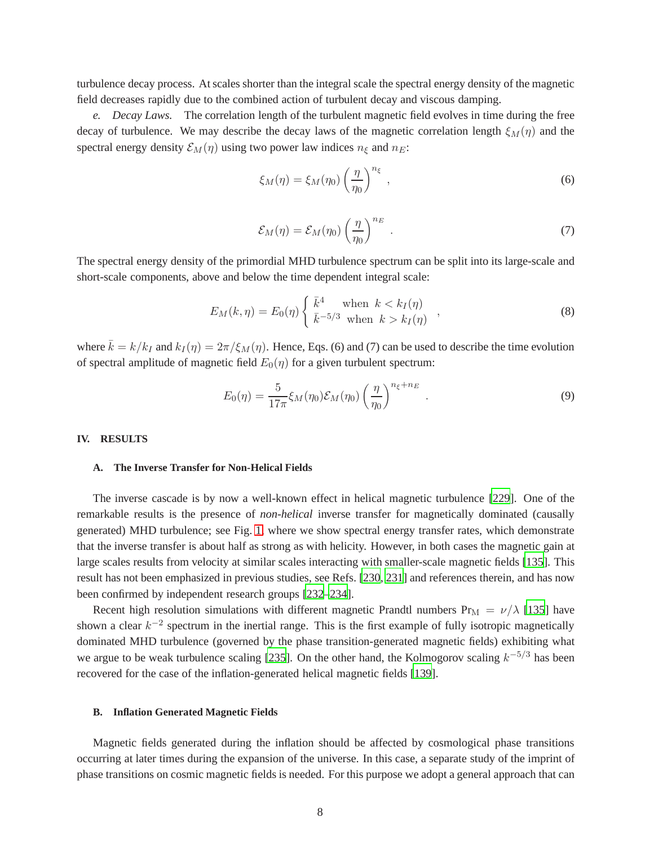turbulence decay process. At scales shorter than the integral scale the spectral energy density of the magnetic field decreases rapidly due to the combined action of turbulent decay and viscous damping.

*e. Decay Laws.* The correlation length of the turbulent magnetic field evolves in time during the free decay of turbulence. We may describe the decay laws of the magnetic correlation length  $\xi_M(\eta)$  and the spectral energy density  $\mathcal{E}_M(\eta)$  using two power law indices  $n_{\xi}$  and  $n_E$ :

$$
\xi_M(\eta) = \xi_M(\eta_0) \left(\frac{\eta}{\eta_0}\right)^{n_{\xi}},\tag{6}
$$

$$
\mathcal{E}_M(\eta) = \mathcal{E}_M(\eta_0) \left(\frac{\eta}{\eta_0}\right)^{n_E} \tag{7}
$$

The spectral energy density of the primordial MHD turbulence spectrum can be split into its large-scale and short-scale components, above and below the time dependent integral scale:

$$
E_M(k,\eta) = E_0(\eta) \begin{cases} \bar{k}^4 & \text{when } k < k_I(\eta) \\ \bar{k}^{-5/3} & \text{when } k > k_I(\eta) \end{cases} \tag{8}
$$

where  $\bar{k} = k/k_I$  and  $k_I(\eta) = 2\pi/\xi_M(\eta)$ . Hence, Eqs. (6) and (7) can be used to describe the time evolution of spectral amplitude of magnetic field  $E_0(\eta)$  for a given turbulent spectrum:

<span id="page-7-0"></span>
$$
E_0(\eta) = \frac{5}{17\pi} \xi_M(\eta_0) \mathcal{E}_M(\eta_0) \left(\frac{\eta}{\eta_0}\right)^{n_\xi + n_E} . \tag{9}
$$

### **IV. RESULTS**

#### **A. The Inverse Transfer for Non-Helical Fields**

The inverse cascade is by now a well-known effect in helical magnetic turbulence [\[229\]](#page-18-16). One of the remarkable results is the presence of *non-helical* inverse transfer for magnetically dominated (causally generated) MHD turbulence; see Fig. [1,](#page-8-0) where we show spectral energy transfer rates, which demonstrate that the inverse transfer is about half as strong as with helicity. However, in both cases the magnetic gain at large scales results from velocity at similar scales interacting with smaller-scale magnetic fields [\[135](#page-16-8)]. This result has not been emphasized in previous studies, see Refs. [\[230](#page-18-17), [231\]](#page-18-18) and references therein, and has now been confirmed by independent research groups [\[232](#page-18-19)[–234](#page-18-20)].

Recent high resolution simulations with different magnetic Prandtl numbers Pr<sub>M</sub> =  $\nu/\lambda$  [\[135](#page-16-8)] have shown a clear  $k^{-2}$  spectrum in the inertial range. This is the first example of fully isotropic magnetically dominated MHD turbulence (governed by the phase transition-generated magnetic fields) exhibiting what we argue to be weak turbulence scaling [\[235\]](#page-18-21). On the other hand, the Kolmogorov scaling  $k^{-5/3}$  has been recovered for the case of the inflation-generated helical magnetic fields [\[139](#page-16-14)].

#### **B. Inflation Generated Magnetic Fields**

Magnetic fields generated during the inflation should be affected by cosmological phase transitions occurring at later times during the expansion of the universe. In this case, a separate study of the imprint of phase transitions on cosmic magnetic fields is needed. For this purpose we adopt a general approach that can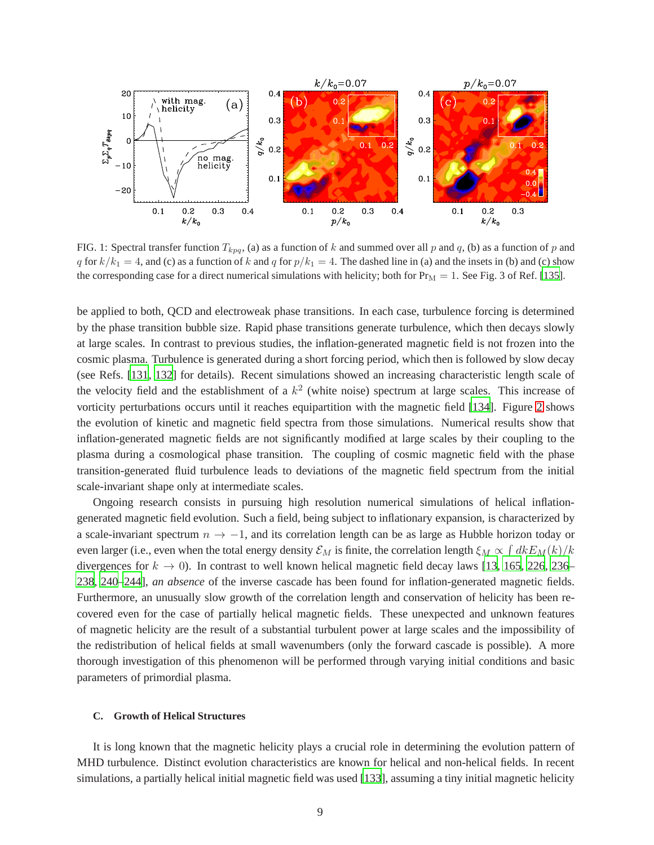

<span id="page-8-0"></span>FIG. 1: Spectral transfer function  $T_{kpq}$ , (a) as a function of k and summed over all p and q, (b) as a function of p and q for  $k/k_1 = 4$ , and (c) as a function of k and q for  $p/k_1 = 4$ . The dashed line in (a) and the insets in (b) and (c) show the corresponding case for a direct numerical simulations with helicity; both for  $Pr_M = 1$ . See Fig. 3 of Ref. [\[135\]](#page-16-8).

be applied to both, QCD and electroweak phase transitions. In each case, turbulence forcing is determined by the phase transition bubble size. Rapid phase transitions generate turbulence, which then decays slowly at large scales. In contrast to previous studies, the inflation-generated magnetic field is not frozen into the cosmic plasma. Turbulence is generated during a short forcing period, which then is followed by slow decay (see Refs. [\[131](#page-16-17), [132\]](#page-16-9) for details). Recent simulations showed an increasing characteristic length scale of the velocity field and the establishment of a  $k^2$  (white noise) spectrum at large scales. This increase of vorticity perturbations occurs until it reaches equipartition with the magnetic field [\[134\]](#page-16-11). Figure [2](#page-9-0) shows the evolution of kinetic and magnetic field spectra from those simulations. Numerical results show that inflation-generated magnetic fields are not significantly modified at large scales by their coupling to the plasma during a cosmological phase transition. The coupling of cosmic magnetic field with the phase transition-generated fluid turbulence leads to deviations of the magnetic field spectrum from the initial scale-invariant shape only at intermediate scales.

Ongoing research consists in pursuing high resolution numerical simulations of helical inflationgenerated magnetic field evolution. Such a field, being subject to inflationary expansion, is characterized by a scale-invariant spectrum  $n \to -1$ , and its correlation length can be as large as Hubble horizon today or even larger (i.e., even when the total energy density  $\mathcal{E}_M$  is finite, the correlation length  $\xi_M \propto \int dk E_M(k)/k$ divergences for  $k \to 0$ ). In contrast to well known helical magnetic field decay laws [\[13,](#page-14-6) [165](#page-17-3), [226](#page-18-22), [236–](#page-18-23) [238](#page-18-24), [240](#page-19-0)[–244](#page-19-1)], *an absence* of the inverse cascade has been found for inflation-generated magnetic fields. Furthermore, an unusually slow growth of the correlation length and conservation of helicity has been recovered even for the case of partially helical magnetic fields. These unexpected and unknown features of magnetic helicity are the result of a substantial turbulent power at large scales and the impossibility of the redistribution of helical fields at small wavenumbers (only the forward cascade is possible). A more thorough investigation of this phenomenon will be performed through varying initial conditions and basic parameters of primordial plasma.

# **C. Growth of Helical Structures**

It is long known that the magnetic helicity plays a crucial role in determining the evolution pattern of MHD turbulence. Distinct evolution characteristics are known for helical and non-helical fields. In recent simulations, a partially helical initial magnetic field was used [\[133](#page-16-10)], assuming a tiny initial magnetic helicity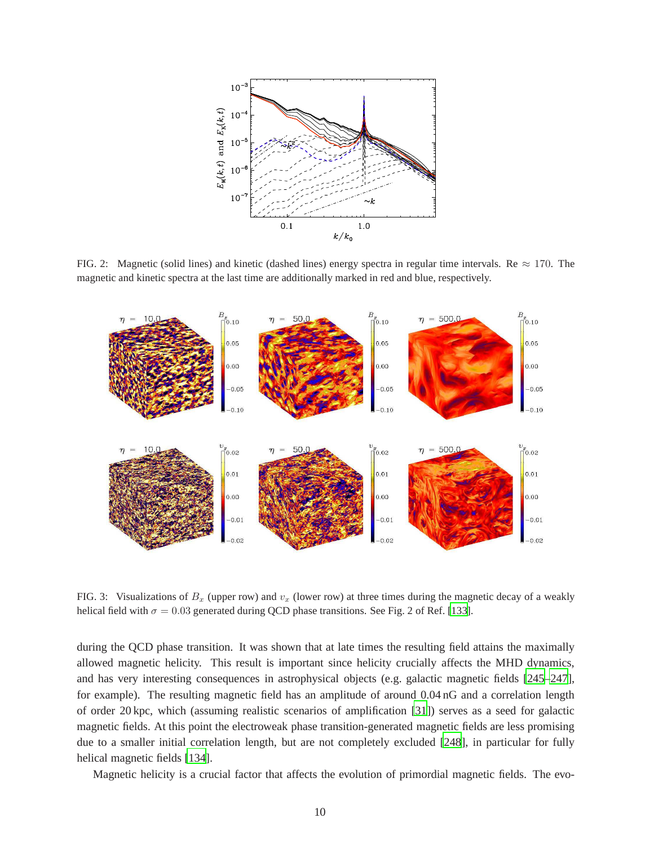

<span id="page-9-0"></span>FIG. 2: Magnetic (solid lines) and kinetic (dashed lines) energy spectra in regular time intervals. Re  $\approx$  170. The magnetic and kinetic spectra at the last time are additionally marked in red and blue, respectively.



FIG. 3: Visualizations of  $B_x$  (upper row) and  $v_x$  (lower row) at three times during the magnetic decay of a weakly helical field with  $\sigma = 0.03$  generated during QCD phase transitions. See Fig. 2 of Ref. [\[133\]](#page-16-10).

during the QCD phase transition. It was shown that at late times the resulting field attains the maximally allowed magnetic helicity. This result is important since helicity crucially affects the MHD dynamics, and has very interesting consequences in astrophysical objects (e.g. galactic magnetic fields [\[245](#page-19-2)[–247\]](#page-19-3), for example). The resulting magnetic field has an amplitude of around 0.04 nG and a correlation length of order 20 kpc, which (assuming realistic scenarios of amplification [\[31\]](#page-14-20)) serves as a seed for galactic magnetic fields. At this point the electroweak phase transition-generated magnetic fields are less promising due to a smaller initial correlation length, but are not completely excluded [\[248](#page-19-4)], in particular for fully helical magnetic fields [\[134\]](#page-16-11).

Magnetic helicity is a crucial factor that affects the evolution of primordial magnetic fields. The evo-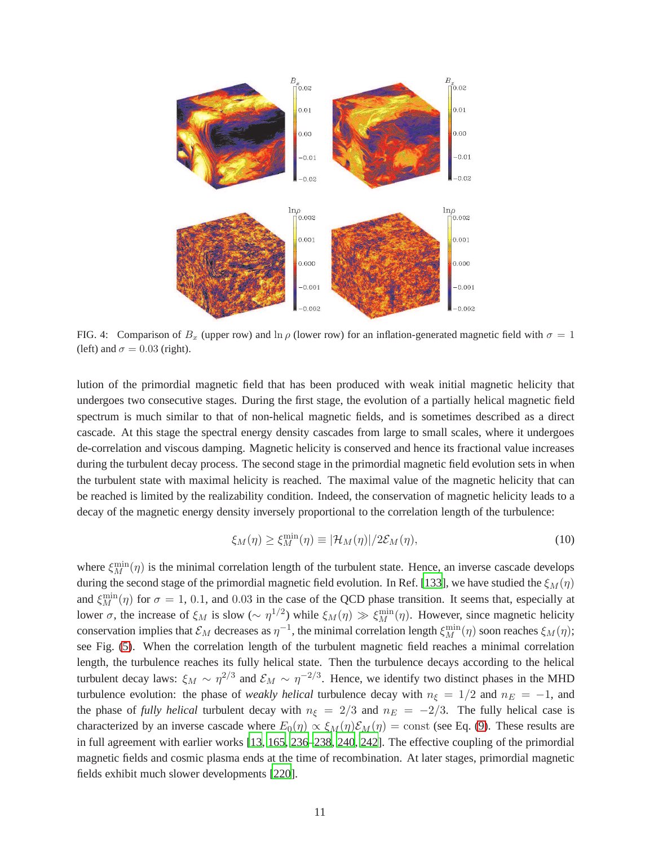

FIG. 4: Comparison of  $B_x$  (upper row) and ln  $\rho$  (lower row) for an inflation-generated magnetic field with  $\sigma = 1$ (left) and  $\sigma = 0.03$  (right).

lution of the primordial magnetic field that has been produced with weak initial magnetic helicity that undergoes two consecutive stages. During the first stage, the evolution of a partially helical magnetic field spectrum is much similar to that of non-helical magnetic fields, and is sometimes described as a direct cascade. At this stage the spectral energy density cascades from large to small scales, where it undergoes de-correlation and viscous damping. Magnetic helicity is conserved and hence its fractional value increases during the turbulent decay process. The second stage in the primordial magnetic field evolution sets in when the turbulent state with maximal helicity is reached. The maximal value of the magnetic helicity that can be reached is limited by the realizability condition. Indeed, the conservation of magnetic helicity leads to a decay of the magnetic energy density inversely proportional to the correlation length of the turbulence:

$$
\xi_M(\eta) \ge \xi_M^{\min}(\eta) \equiv |\mathcal{H}_M(\eta)|/2\mathcal{E}_M(\eta),\tag{10}
$$

where  $\xi_M^{\text{min}}(\eta)$  is the minimal correlation length of the turbulent state. Hence, an inverse cascade develops during the second stage of the primordial magnetic field evolution. In Ref. [\[133\]](#page-16-10), we have studied the  $\xi_M(\eta)$ and  $\xi_M^{\text{min}}(\eta)$  for  $\sigma = 1, 0.1$ , and 0.03 in the case of the QCD phase transition. It seems that, especially at lower  $\sigma$ , the increase of  $\xi_M$  is slow ( $\sim \eta^{1/2}$ ) while  $\xi_M(\eta) \gg \xi_M^{\min}(\eta)$ . However, since magnetic helicity conservation implies that  $\mathcal{E}_M$  decreases as  $\eta^{-1}$ , the minimal correlation length  $\xi_M^{\min}(\eta)$  soon reaches  $\xi_M(\eta)$ ; see Fig. [\(5\)](#page-11-0). When the correlation length of the turbulent magnetic field reaches a minimal correlation length, the turbulence reaches its fully helical state. Then the turbulence decays according to the helical turbulent decay laws:  $\xi_M \sim \eta^{2/3}$  and  $\mathcal{E}_M \sim \eta^{-2/3}$ . Hence, we identify two distinct phases in the MHD turbulence evolution: the phase of *weakly helical* turbulence decay with  $n_{\xi} = 1/2$  and  $n_E = -1$ , and the phase of *fully helical* turbulent decay with  $n_{\xi} = 2/3$  and  $n_E = -2/3$ . The fully helical case is characterized by an inverse cascade where  $E_0(\eta) \propto \xi_M(\eta) \mathcal{E}_M(\eta) = \text{const}$  (see Eq. [\(9\)](#page-7-0). These results are in full agreement with earlier works [\[13](#page-14-6), [165](#page-17-3), [236](#page-18-23)[–238](#page-18-24), [240](#page-19-0), [242](#page-19-5)]. The effective coupling of the primordial magnetic fields and cosmic plasma ends at the time of recombination. At later stages, primordial magnetic fields exhibit much slower developments [\[220](#page-18-11)].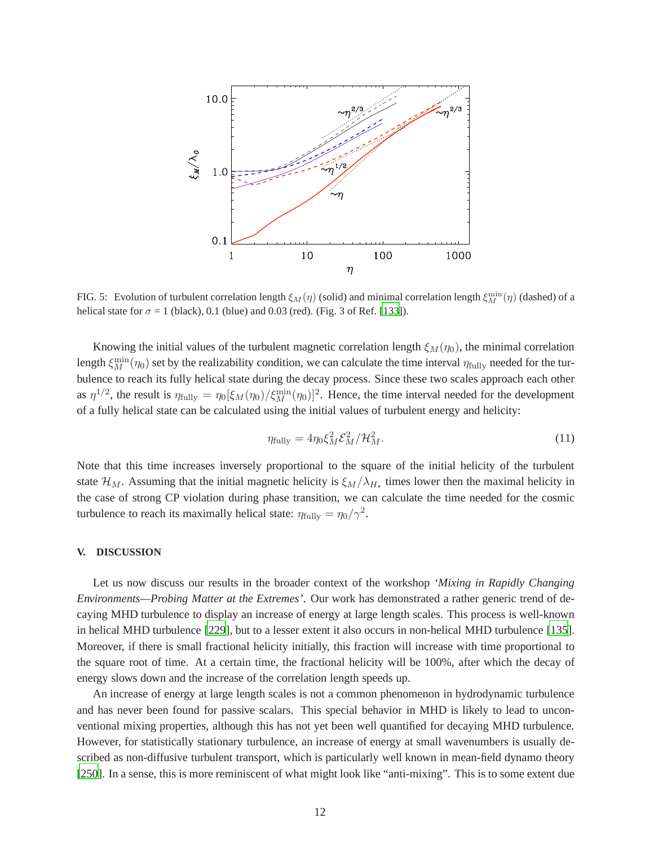

<span id="page-11-0"></span>FIG. 5: Evolution of turbulent correlation length  $\xi_M(\eta)$  (solid) and minimal correlation length  $\xi_M^{\min}(\eta)$  (dashed) of a helical state for  $\sigma = 1$  (black), 0.1 (blue) and 0.03 (red). (Fig. 3 of Ref. [\[133\]](#page-16-10)).

Knowing the initial values of the turbulent magnetic correlation length  $\xi_M(\eta_0)$ , the minimal correlation length  $\xi_M^{\min}(\eta_0)$  set by the realizability condition, we can calculate the time interval  $\eta_{\text{fully}}$  needed for the turbulence to reach its fully helical state during the decay process. Since these two scales approach each other as  $\eta^{1/2}$ , the result is  $\eta_{\text{fully}} = \eta_0[\xi_M(\eta_0)/\xi_M^{\text{min}}(\eta_0)]^2$ . Hence, the time interval needed for the development of a fully helical state can be calculated using the initial values of turbulent energy and helicity:

$$
\eta_{\text{fully}} = 4\eta_0 \xi_M^2 \mathcal{E}_M^2 / \mathcal{H}_M^2. \tag{11}
$$

Note that this time increases inversely proportional to the square of the initial helicity of the turbulent state  $\mathcal{H}_M$ . Assuming that the initial magnetic helicity is  $\xi_M/\lambda_{H_\star}$  times lower then the maximal helicity in the case of strong CP violation during phase transition, we can calculate the time needed for the cosmic turbulence to reach its maximally helical state:  $\eta_{\text{fully}} = \eta_0 / \gamma^2$ .

#### **V. DISCUSSION**

Let us now discuss our results in the broader context of the workshop *'Mixing in Rapidly Changing Environments—Probing Matter at the Extremes'*. Our work has demonstrated a rather generic trend of decaying MHD turbulence to display an increase of energy at large length scales. This process is well-known in helical MHD turbulence [\[229](#page-18-16)], but to a lesser extent it also occurs in non-helical MHD turbulence [\[135\]](#page-16-8). Moreover, if there is small fractional helicity initially, this fraction will increase with time proportional to the square root of time. At a certain time, the fractional helicity will be 100%, after which the decay of energy slows down and the increase of the correlation length speeds up.

An increase of energy at large length scales is not a common phenomenon in hydrodynamic turbulence and has never been found for passive scalars. This special behavior in MHD is likely to lead to unconventional mixing properties, although this has not yet been well quantified for decaying MHD turbulence. However, for statistically stationary turbulence, an increase of energy at small wavenumbers is usually described as non-diffusive turbulent transport, which is particularly well known in mean-field dynamo theory [\[250](#page-19-6)]. In a sense, this is more reminiscent of what might look like "anti-mixing". This is to some extent due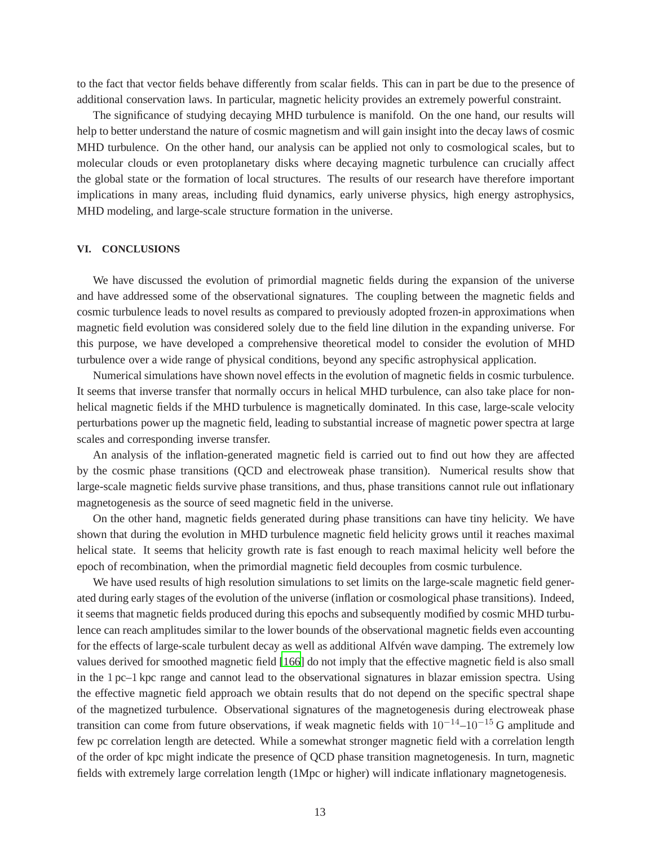to the fact that vector fields behave differently from scalar fields. This can in part be due to the presence of additional conservation laws. In particular, magnetic helicity provides an extremely powerful constraint.

The significance of studying decaying MHD turbulence is manifold. On the one hand, our results will help to better understand the nature of cosmic magnetism and will gain insight into the decay laws of cosmic MHD turbulence. On the other hand, our analysis can be applied not only to cosmological scales, but to molecular clouds or even protoplanetary disks where decaying magnetic turbulence can crucially affect the global state or the formation of local structures. The results of our research have therefore important implications in many areas, including fluid dynamics, early universe physics, high energy astrophysics, MHD modeling, and large-scale structure formation in the universe.

## **VI. CONCLUSIONS**

We have discussed the evolution of primordial magnetic fields during the expansion of the universe and have addressed some of the observational signatures. The coupling between the magnetic fields and cosmic turbulence leads to novel results as compared to previously adopted frozen-in approximations when magnetic field evolution was considered solely due to the field line dilution in the expanding universe. For this purpose, we have developed a comprehensive theoretical model to consider the evolution of MHD turbulence over a wide range of physical conditions, beyond any specific astrophysical application.

Numerical simulations have shown novel effects in the evolution of magnetic fields in cosmic turbulence. It seems that inverse transfer that normally occurs in helical MHD turbulence, can also take place for nonhelical magnetic fields if the MHD turbulence is magnetically dominated. In this case, large-scale velocity perturbations power up the magnetic field, leading to substantial increase of magnetic power spectra at large scales and corresponding inverse transfer.

An analysis of the inflation-generated magnetic field is carried out to find out how they are affected by the cosmic phase transitions (QCD and electroweak phase transition). Numerical results show that large-scale magnetic fields survive phase transitions, and thus, phase transitions cannot rule out inflationary magnetogenesis as the source of seed magnetic field in the universe.

On the other hand, magnetic fields generated during phase transitions can have tiny helicity. We have shown that during the evolution in MHD turbulence magnetic field helicity grows until it reaches maximal helical state. It seems that helicity growth rate is fast enough to reach maximal helicity well before the epoch of recombination, when the primordial magnetic field decouples from cosmic turbulence.

We have used results of high resolution simulations to set limits on the large-scale magnetic field generated during early stages of the evolution of the universe (inflation or cosmological phase transitions). Indeed, it seems that magnetic fields produced during this epochs and subsequently modified by cosmic MHD turbulence can reach amplitudes similar to the lower bounds of the observational magnetic fields even accounting for the effects of large-scale turbulent decay as well as additional Alfvén wave damping. The extremely low values derived for smoothed magnetic field [\[166](#page-17-4)] do not imply that the effective magnetic field is also small in the 1 pc–1 kpc range and cannot lead to the observational signatures in blazar emission spectra. Using the effective magnetic field approach we obtain results that do not depend on the specific spectral shape of the magnetized turbulence. Observational signatures of the magnetogenesis during electroweak phase transition can come from future observations, if weak magnetic fields with  $10^{-14}$ – $10^{-15}$  G amplitude and few pc correlation length are detected. While a somewhat stronger magnetic field with a correlation length of the order of kpc might indicate the presence of QCD phase transition magnetogenesis. In turn, magnetic fields with extremely large correlation length (1Mpc or higher) will indicate inflationary magnetogenesis.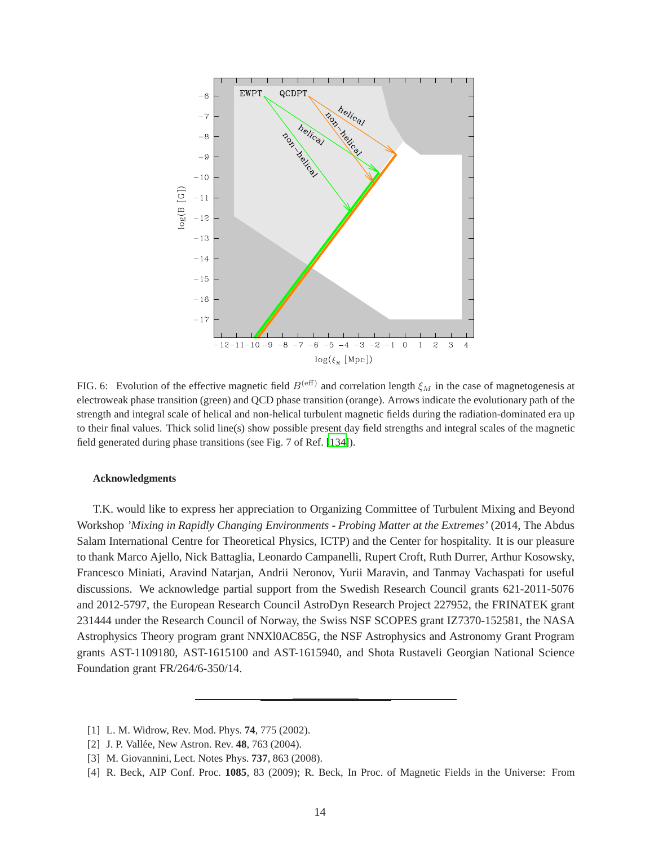

FIG. 6: Evolution of the effective magnetic field  $B^{(eff)}$  and correlation length  $\xi_M$  in the case of magnetogenesis at electroweak phase transition (green) and QCD phase transition (orange). Arrows indicate the evolutionary path of the strength and integral scale of helical and non-helical turbulent magnetic fields during the radiation-dominated era up to their final values. Thick solid line(s) show possible present day field strengths and integral scales of the magnetic field generated during phase transitions (see Fig. 7 of Ref. [\[134\]](#page-16-11)).

## **Acknowledgments**

T.K. would like to express her appreciation to Organizing Committee of Turbulent Mixing and Beyond Workshop *'Mixing in Rapidly Changing Environments - Probing Matter at the Extremes'* (2014, The Abdus Salam International Centre for Theoretical Physics, ICTP) and the Center for hospitality. It is our pleasure to thank Marco Ajello, Nick Battaglia, Leonardo Campanelli, Rupert Croft, Ruth Durrer, Arthur Kosowsky, Francesco Miniati, Aravind Natarjan, Andrii Neronov, Yurii Maravin, and Tanmay Vachaspati for useful discussions. We acknowledge partial support from the Swedish Research Council grants 621-2011-5076 and 2012-5797, the European Research Council AstroDyn Research Project 227952, the FRINATEK grant 231444 under the Research Council of Norway, the Swiss NSF SCOPES grant IZ7370-152581, the NASA Astrophysics Theory program grant NNXl0AC85G, the NSF Astrophysics and Astronomy Grant Program grants AST-1109180, AST-1615100 and AST-1615940, and Shota Rustaveli Georgian National Science Foundation grant FR/264/6-350/14.

- <span id="page-13-0"></span>[1] L. M. Widrow, Rev. Mod. Phys. **74**, 775 (2002).
- [2] J. P. Vallée, New Astron. Rev. **48**, 763 (2004).
- [3] M. Giovannini, Lect. Notes Phys. **737**, 863 (2008).
- [4] R. Beck, AIP Conf. Proc. **1085**, 83 (2009); R. Beck, In Proc. of Magnetic Fields in the Universe: From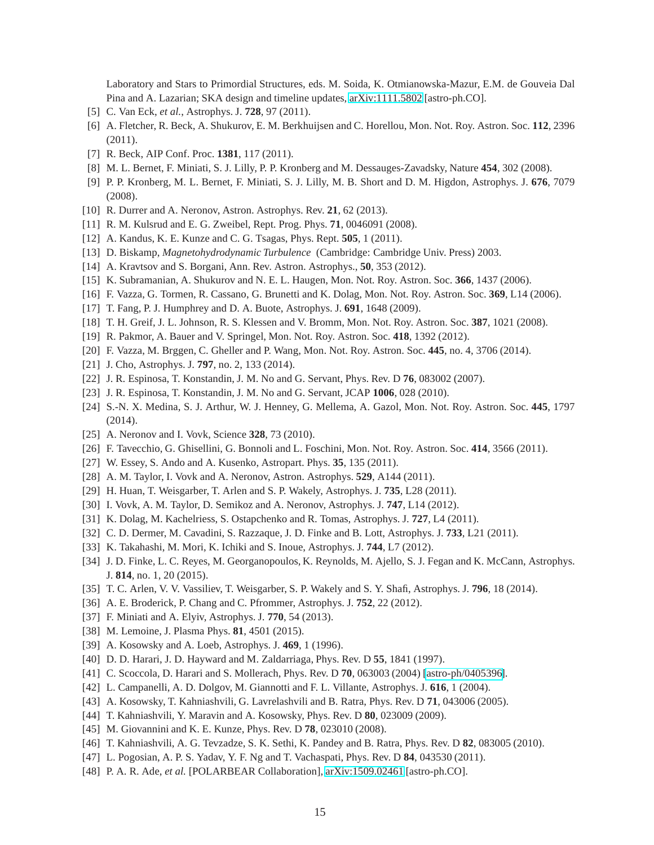Laboratory and Stars to Primordial Structures, eds. M. Soida, K. Otmianowska-Mazur, E.M. de Gouveia Dal Pina and A. Lazarian; SKA design and timeline updates, [arXiv:1111.5802](http://arxiv.org/abs/1111.5802) [astro-ph.CO].

- [5] C. Van Eck, *et al.*, Astrophys. J. **728**, 97 (2011).
- <span id="page-14-0"></span>[6] A. Fletcher, R. Beck, A. Shukurov, E. M. Berkhuijsen and C. Horellou, Mon. Not. Roy. Astron. Soc. **112**, 2396 (2011).
- <span id="page-14-1"></span>[7] R. Beck, AIP Conf. Proc. **1381**, 117 (2011).
- [8] M. L. Bernet, F. Miniati, S. J. Lilly, P. P. Kronberg and M. Dessauges-Zavadsky, Nature **454**, 302 (2008).
- <span id="page-14-2"></span>[9] P. P. Kronberg, M. L. Bernet, F. Miniati, S. J. Lilly, M. B. Short and D. M. Higdon, Astrophys. J. **676**, 7079 (2008).
- <span id="page-14-3"></span>[10] R. Durrer and A. Neronov, Astron. Astrophys. Rev. **21**, 62 (2013).
- <span id="page-14-4"></span>[11] R. M. Kulsrud and E. G. Zweibel, Rept. Prog. Phys. **71**, 0046091 (2008).
- <span id="page-14-5"></span>[12] A. Kandus, K. E. Kunze and C. G. Tsagas, Phys. Rept. **505**, 1 (2011).
- <span id="page-14-6"></span>[13] D. Biskamp, *Magnetohydrodynamic Turbulence* (Cambridge: Cambridge Univ. Press) 2003.
- <span id="page-14-7"></span>[14] A. Kravtsov and S. Borgani, Ann. Rev. Astron. Astrophys., **50**, 353 (2012).
- <span id="page-14-8"></span>[15] K. Subramanian, A. Shukurov and N. E. L. Haugen, Mon. Not. Roy. Astron. Soc. **366**, 1437 (2006).
- <span id="page-14-9"></span>[16] F. Vazza, G. Tormen, R. Cassano, G. Brunetti and K. Dolag, Mon. Not. Roy. Astron. Soc. **369**, L14 (2006).
- [17] T. Fang, P. J. Humphrey and D. A. Buote, Astrophys. J. **691**, 1648 (2009).
- [18] T. H. Greif, J. L. Johnson, R. S. Klessen and V. Bromm, Mon. Not. Roy. Astron. Soc. **387**, 1021 (2008).
- [19] R. Pakmor, A. Bauer and V. Springel, Mon. Not. Roy. Astron. Soc. **418**, 1392 (2012).
- [20] F. Vazza, M. Brggen, C. Gheller and P. Wang, Mon. Not. Roy. Astron. Soc. **445**, no. 4, 3706 (2014).
- <span id="page-14-10"></span>[21] J. Cho, Astrophys. J. **797**, no. 2, 133 (2014).
- <span id="page-14-11"></span>[22] J. R. Espinosa, T. Konstandin, J. M. No and G. Servant, Phys. Rev. D **76**, 083002 (2007).
- [23] J. R. Espinosa, T. Konstandin, J. M. No and G. Servant, JCAP **1006**, 028 (2010).
- <span id="page-14-12"></span>[24] S.-N. X. Medina, S. J. Arthur, W. J. Henney, G. Mellema, A. Gazol, Mon. Not. Roy. Astron. Soc. **445**, 1797 (2014).
- <span id="page-14-13"></span>[25] A. Neronov and I. Vovk, Science **328**, 73 (2010).
- [26] F. Tavecchio, G. Ghisellini, G. Bonnoli and L. Foschini, Mon. Not. Roy. Astron. Soc. **414**, 3566 (2011).
- [27] W. Essey, S. Ando and A. Kusenko, Astropart. Phys. **35**, 135 (2011).
- [28] A. M. Taylor, I. Vovk and A. Neronov, Astron. Astrophys. **529**, A144 (2011).
- [29] H. Huan, T. Weisgarber, T. Arlen and S. P. Wakely, Astrophys. J. **735**, L28 (2011).
- [30] I. Vovk, A. M. Taylor, D. Semikoz and A. Neronov, Astrophys. J. **747**, L14 (2012).
- <span id="page-14-20"></span>[31] K. Dolag, M. Kachelriess, S. Ostapchenko and R. Tomas, Astrophys. J. **727**, L4 (2011).
- [32] C. D. Dermer, M. Cavadini, S. Razzaque, J. D. Finke and B. Lott, Astrophys. J. **733**, L21 (2011).
- <span id="page-14-14"></span>[33] K. Takahashi, M. Mori, K. Ichiki and S. Inoue, Astrophys. J. **744**, L7 (2012).
- <span id="page-14-15"></span>[34] J. D. Finke, L. C. Reyes, M. Georganopoulos, K. Reynolds, M. Ajello, S. J. Fegan and K. McCann, Astrophys. J. **814**, no. 1, 20 (2015).
- <span id="page-14-16"></span>[35] T. C. Arlen, V. V. Vassiliev, T. Weisgarber, S. P. Wakely and S. Y. Shafi, Astrophys. J. **796**, 18 (2014).
- <span id="page-14-17"></span>[36] A. E. Broderick, P. Chang and C. Pfrommer, Astrophys. J. **752**, 22 (2012).
- [37] F. Miniati and A. Elyiv, Astrophys. J. **770**, 54 (2013).
- <span id="page-14-18"></span>[38] M. Lemoine, J. Plasma Phys. **81**, 4501 (2015).
- <span id="page-14-19"></span>[39] A. Kosowsky and A. Loeb, Astrophys. J. **469**, 1 (1996).
- [40] D. D. Harari, J. D. Hayward and M. Zaldarriaga, Phys. Rev. D **55**, 1841 (1997).
- [41] C. Scoccola, D. Harari and S. Mollerach, Phys. Rev. D **70**, 063003 (2004) [\[astro-ph/0405396\]](http://arxiv.org/abs/astro-ph/0405396).
- [42] L. Campanelli, A. D. Dolgov, M. Giannotti and F. L. Villante, Astrophys. J. **616**, 1 (2004).
- [43] A. Kosowsky, T. Kahniashvili, G. Lavrelashvili and B. Ratra, Phys. Rev. D **71**, 043006 (2005).
- <span id="page-14-21"></span>[44] T. Kahniashvili, Y. Maravin and A. Kosowsky, Phys. Rev. D **80**, 023009 (2009).
- [45] M. Giovannini and K. E. Kunze, Phys. Rev. D **78**, 023010 (2008).
- <span id="page-14-22"></span>[46] T. Kahniashvili, A. G. Tevzadze, S. K. Sethi, K. Pandey and B. Ratra, Phys. Rev. D **82**, 083005 (2010).
- [47] L. Pogosian, A. P. S. Yadav, Y. F. Ng and T. Vachaspati, Phys. Rev. D **84**, 043530 (2011).
- [48] P. A. R. Ade, *et al.* [POLARBEAR Collaboration], [arXiv:1509.02461](http://arxiv.org/abs/1509.02461) [astro-ph.CO].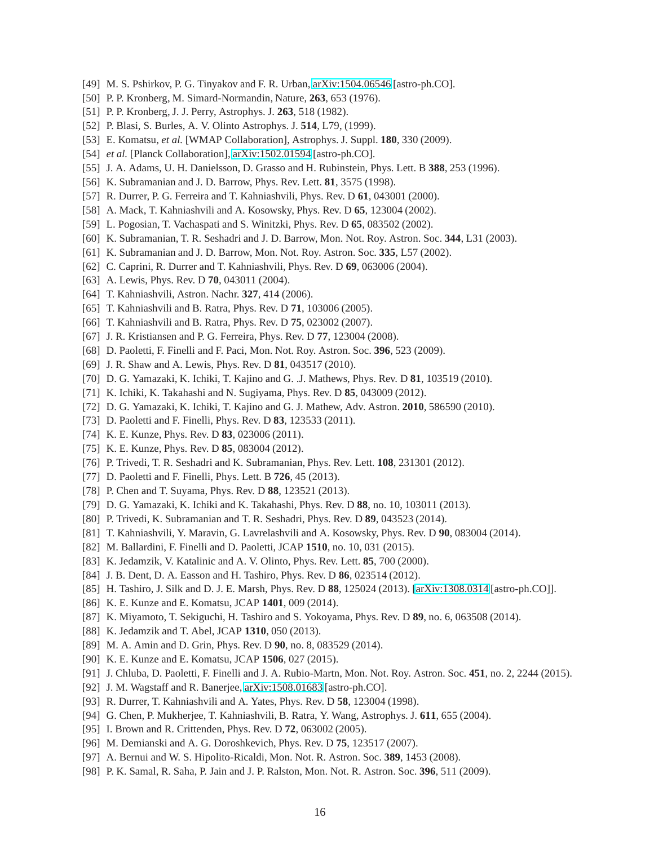- <span id="page-15-0"></span>[49] M. S. Pshirkov, P. G. Tinyakov and F. R. Urban, [arXiv:1504.06546](http://arxiv.org/abs/1504.06546) [astro-ph.CO].
- <span id="page-15-1"></span>[50] P. P. Kronberg, M. Simard-Normandin, Nature, **263**, 653 (1976).
- [51] P. P. Kronberg, J. J. Perry, Astrophys. J. **263**, 518 (1982).
- [52] P. Blasi, S. Burles, A. V. Olinto Astrophys. J. **514**, L79, (1999).
- <span id="page-15-2"></span>[53] E. Komatsu, *et al.* [WMAP Collaboration], Astrophys. J. Suppl. **180**, 330 (2009).
- <span id="page-15-3"></span>[54] *et al.* [Planck Collaboration], [arXiv:1502.01594](http://arxiv.org/abs/1502.01594) [astro-ph.CO].
- <span id="page-15-4"></span>[55] J. A. Adams, U. H. Danielsson, D. Grasso and H. Rubinstein, Phys. Lett. B **388**, 253 (1996).
- [56] K. Subramanian and J. D. Barrow, Phys. Rev. Lett. **81**, 3575 (1998).
- [57] R. Durrer, P. G. Ferreira and T. Kahniashvili, Phys. Rev. D **61**, 043001 (2000).
- [58] A. Mack, T. Kahniashvili and A. Kosowsky, Phys. Rev. D **65**, 123004 (2002).
- [59] L. Pogosian, T. Vachaspati and S. Winitzki, Phys. Rev. D **65**, 083502 (2002).
- [60] K. Subramanian, T. R. Seshadri and J. D. Barrow, Mon. Not. Roy. Astron. Soc. **344**, L31 (2003).
- [61] K. Subramanian and J. D. Barrow, Mon. Not. Roy. Astron. Soc. **335**, L57 (2002).
- [62] C. Caprini, R. Durrer and T. Kahniashvili, Phys. Rev. D **69**, 063006 (2004).
- [63] A. Lewis, Phys. Rev. D **70**, 043011 (2004).
- [64] T. Kahniashvili, Astron. Nachr. **327**, 414 (2006).
- [65] T. Kahniashvili and B. Ratra, Phys. Rev. D **71**, 103006 (2005).
- [66] T. Kahniashvili and B. Ratra, Phys. Rev. D **75**, 023002 (2007).
- [67] J. R. Kristiansen and P. G. Ferreira, Phys. Rev. D **77**, 123004 (2008).
- [68] D. Paoletti, F. Finelli and F. Paci, Mon. Not. Roy. Astron. Soc. **396**, 523 (2009).
- [69] J. R. Shaw and A. Lewis, Phys. Rev. D **81**, 043517 (2010).
- [70] D. G. Yamazaki, K. Ichiki, T. Kajino and G. .J. Mathews, Phys. Rev. D **81**, 103519 (2010).
- [71] K. Ichiki, K. Takahashi and N. Sugiyama, Phys. Rev. D **85**, 043009 (2012).
- [72] D. G. Yamazaki, K. Ichiki, T. Kajino and G. J. Mathew, Adv. Astron. **2010**, 586590 (2010).
- [73] D. Paoletti and F. Finelli, Phys. Rev. D **83**, 123533 (2011).
- [74] K. E. Kunze, Phys. Rev. D **83**, 023006 (2011).
- [75] K. E. Kunze, Phys. Rev. D **85**, 083004 (2012).
- [76] P. Trivedi, T. R. Seshadri and K. Subramanian, Phys. Rev. Lett. **108**, 231301 (2012).
- [77] D. Paoletti and F. Finelli, Phys. Lett. B **726**, 45 (2013).
- [78] P. Chen and T. Suyama, Phys. Rev. D **88**, 123521 (2013).
- [79] D. G. Yamazaki, K. Ichiki and K. Takahashi, Phys. Rev. D **88**, no. 10, 103011 (2013).
- [80] P. Trivedi, K. Subramanian and T. R. Seshadri, Phys. Rev. D **89**, 043523 (2014).
- [81] T. Kahniashvili, Y. Maravin, G. Lavrelashvili and A. Kosowsky, Phys. Rev. D **90**, 083004 (2014).
- <span id="page-15-5"></span>[82] M. Ballardini, F. Finelli and D. Paoletti, JCAP **1510**, no. 10, 031 (2015).
- <span id="page-15-6"></span>[83] K. Jedamzik, V. Katalinic and A. V. Olinto, Phys. Rev. Lett. **85**, 700 (2000).
- [84] J. B. Dent, D. A. Easson and H. Tashiro, Phys. Rev. D **86**, 023514 (2012).
- [85] H. Tashiro, J. Silk and D. J. E. Marsh, Phys. Rev. D **88**, 125024 (2013). [\[arXiv:1308.0314](http://arxiv.org/abs/1308.0314) [astro-ph.CO]].
- [86] K. E. Kunze and E. Komatsu, JCAP **1401**, 009 (2014).
- [87] K. Miyamoto, T. Sekiguchi, H. Tashiro and S. Yokoyama, Phys. Rev. D **89**, no. 6, 063508 (2014).
- [88] K. Jedamzik and T. Abel, JCAP **1310**, 050 (2013).
- [89] M. A. Amin and D. Grin, Phys. Rev. D **90**, no. 8, 083529 (2014).
- [90] K. E. Kunze and E. Komatsu, JCAP **1506**, 027 (2015).
- [91] J. Chluba, D. Paoletti, F. Finelli and J. A. Rubio-Martn, Mon. Not. Roy. Astron. Soc. **451**, no. 2, 2244 (2015).
- <span id="page-15-7"></span>[92] J. M. Wagstaff and R. Banerjee, [arXiv:1508.01683](http://arxiv.org/abs/1508.01683) [astro-ph.CO].
- <span id="page-15-8"></span>[93] R. Durrer, T. Kahniashvili and A. Yates, Phys. Rev. D **58**, 123004 (1998).
- [94] G. Chen, P. Mukherjee, T. Kahniashvili, B. Ratra, Y. Wang, Astrophys. J. **611**, 655 (2004).
- [95] I. Brown and R. Crittenden, Phys. Rev. D **72**, 063002 (2005).
- [96] M. Demianski and A. G. Doroshkevich, Phys. Rev. D **75**, 123517 (2007).
- [97] A. Bernui and W. S. Hipolito-Ricaldi, Mon. Not. R. Astron. Soc. **389**, 1453 (2008).
- [98] P. K. Samal, R. Saha, P. Jain and J. P. Ralston, Mon. Not. R. Astron. Soc. **396**, 511 (2009).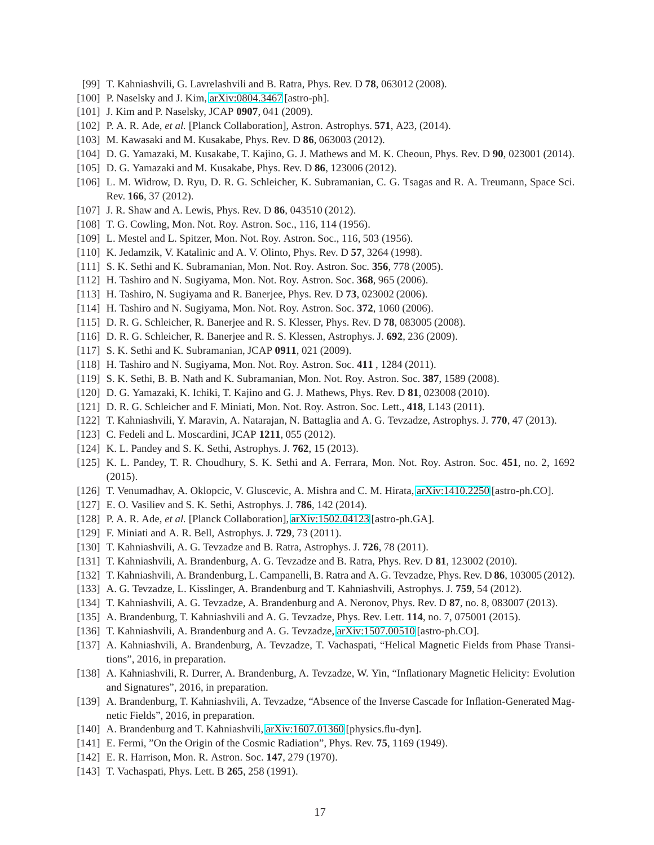- [99] T. Kahniashvili, G. Lavrelashvili and B. Ratra, Phys. Rev. D **78**, 063012 (2008).
- [100] P. Naselsky and J. Kim, [arXiv:0804.3467](http://arxiv.org/abs/0804.3467) [astro-ph].
- [101] J. Kim and P. Naselsky, JCAP **0907**, 041 (2009).
- <span id="page-16-0"></span>[102] P. A. R. Ade, *et al.* [Planck Collaboration], Astron. Astrophys. **571**, A23, (2014).
- <span id="page-16-1"></span>[103] M. Kawasaki and M. Kusakabe, Phys. Rev. D **86**, 063003 (2012).
- [104] D. G. Yamazaki, M. Kusakabe, T. Kajino, G. J. Mathews and M. K. Cheoun, Phys. Rev. D **90**, 023001 (2014).
- <span id="page-16-2"></span>[105] D. G. Yamazaki and M. Kusakabe, Phys. Rev. D **86**, 123006 (2012).
- <span id="page-16-3"></span>[106] L. M. Widrow, D. Ryu, D. R. G. Schleicher, K. Subramanian, C. G. Tsagas and R. A. Treumann, Space Sci. Rev. **166**, 37 (2012).
- [107] J. R. Shaw and A. Lewis, Phys. Rev. D **86**, 043510 (2012).
- [108] T. G. Cowling, Mon. Not. Roy. Astron. Soc., 116, 114 (1956).
- [109] L. Mestel and L. Spitzer, Mon. Not. Roy. Astron. Soc., 116, 503 (1956).
- <span id="page-16-20"></span>[110] K. Jedamzik, V. Katalinic and A. V. Olinto, Phys. Rev. D **57**, 3264 (1998).
- [111] S. K. Sethi and K. Subramanian, Mon. Not. Roy. Astron. Soc. **356**, 778 (2005).
- [112] H. Tashiro and N. Sugiyama, Mon. Not. Roy. Astron. Soc. **368**, 965 (2006).
- [113] H. Tashiro, N. Sugiyama and R. Banerjee, Phys. Rev. D **73**, 023002 (2006).
- [114] H. Tashiro and N. Sugiyama, Mon. Not. Roy. Astron. Soc. **372**, 1060 (2006).
- [115] D. R. G. Schleicher, R. Banerjee and R. S. Klesser, Phys. Rev. D **78**, 083005 (2008).
- [116] D. R. G. Schleicher, R. Banerjee and R. S. Klessen, Astrophys. J. **692**, 236 (2009).
- [117] S. K. Sethi and K. Subramanian, JCAP **0911**, 021 (2009).
- [118] H. Tashiro and N. Sugiyama, Mon. Not. Roy. Astron. Soc. **411** , 1284 (2011).
- [119] S. K. Sethi, B. B. Nath and K. Subramanian, Mon. Not. Roy. Astron. Soc. **387**, 1589 (2008).
- [120] D. G. Yamazaki, K. Ichiki, T. Kajino and G. J. Mathews, Phys. Rev. D **81**, 023008 (2010).
- [121] D. R. G. Schleicher and F. Miniati, Mon. Not. Roy. Astron. Soc. Lett., **418**, L143 (2011).
- <span id="page-16-18"></span>[122] T. Kahniashvili, Y. Maravin, A. Natarajan, N. Battaglia and A. G. Tevzadze, Astrophys. J. **770**, 47 (2013).
- [123] C. Fedeli and L. Moscardini, JCAP **1211**, 055 (2012).
- [124] K. L. Pandey and S. K. Sethi, Astrophys. J. **762**, 15 (2013).
- [125] K. L. Pandey, T. R. Choudhury, S. K. Sethi and A. Ferrara, Mon. Not. Roy. Astron. Soc. **451**, no. 2, 1692 (2015).
- [126] T. Venumadhav, A. Oklopcic, V. Gluscevic, A. Mishra and C. M. Hirata, [arXiv:1410.2250](http://arxiv.org/abs/1410.2250) [astro-ph.CO].
- [127] E. O. Vasiliev and S. K. Sethi, Astrophys. J. **786**, 142 (2014).
- <span id="page-16-4"></span>[128] P. A. R. Ade, *et al.* [Planck Collaboration], [arXiv:1502.04123](http://arxiv.org/abs/1502.04123) [astro-ph.GA].
- <span id="page-16-5"></span>[129] F. Miniati and A. R. Bell, Astrophys. J. **729**, 73 (2011).
- <span id="page-16-6"></span>[130] T. Kahniashvili, A. G. Tevzadze and B. Ratra, Astrophys. J. **726**, 78 (2011).
- <span id="page-16-17"></span>[131] T. Kahniashvili, A. Brandenburg, A. G. Tevzadze and B. Ratra, Phys. Rev. D **81**, 123002 (2010).
- <span id="page-16-9"></span>[132] T. Kahniashvili, A. Brandenburg, L. Campanelli, B. Ratra and A. G. Tevzadze, Phys. Rev. D **86**, 103005 (2012).
- <span id="page-16-10"></span>[133] A. G. Tevzadze, L. Kisslinger, A. Brandenburg and T. Kahniashvili, Astrophys. J. **759**, 54 (2012).
- <span id="page-16-11"></span>[134] T. Kahniashvili, A. G. Tevzadze, A. Brandenburg and A. Neronov, Phys. Rev. D **87**, no. 8, 083007 (2013).
- <span id="page-16-8"></span>[135] A. Brandenburg, T. Kahniashvili and A. G. Tevzadze, Phys. Rev. Lett. **114**, no. 7, 075001 (2015).
- <span id="page-16-12"></span>[136] T. Kahniashvili, A. Brandenburg and A. G. Tevzadze, [arXiv:1507.00510](http://arxiv.org/abs/1507.00510) [astro-ph.CO].
- <span id="page-16-13"></span>[137] A. Kahniashvili, A. Brandenburg, A. Tevzadze, T. Vachaspati, "Helical Magnetic Fields from Phase Transitions", 2016, in preparation.
- <span id="page-16-19"></span>[138] A. Kahniashvili, R. Durrer, A. Brandenburg, A. Tevzadze, W. Yin, "Inflationary Magnetic Helicity: Evolution and Signatures", 2016, in preparation.
- <span id="page-16-14"></span>[139] A. Brandenburg, T. Kahniashvili, A. Tevzadze, "Absence of the Inverse Cascade for Inflation-Generated Magnetic Fields", 2016, in preparation.
- <span id="page-16-7"></span>[140] A. Brandenburg and T. Kahniashvili, [arXiv:1607.01360](http://arxiv.org/abs/1607.01360) [physics.flu-dyn].
- <span id="page-16-15"></span>[141] E. Fermi, "On the Origin of the Cosmic Radiation", Phys. Rev. **75**, 1169 (1949).
- <span id="page-16-16"></span>[142] E. R. Harrison, Mon. R. Astron. Soc. **147**, 279 (1970).
- [143] T. Vachaspati, Phys. Lett. B **265**, 258 (1991).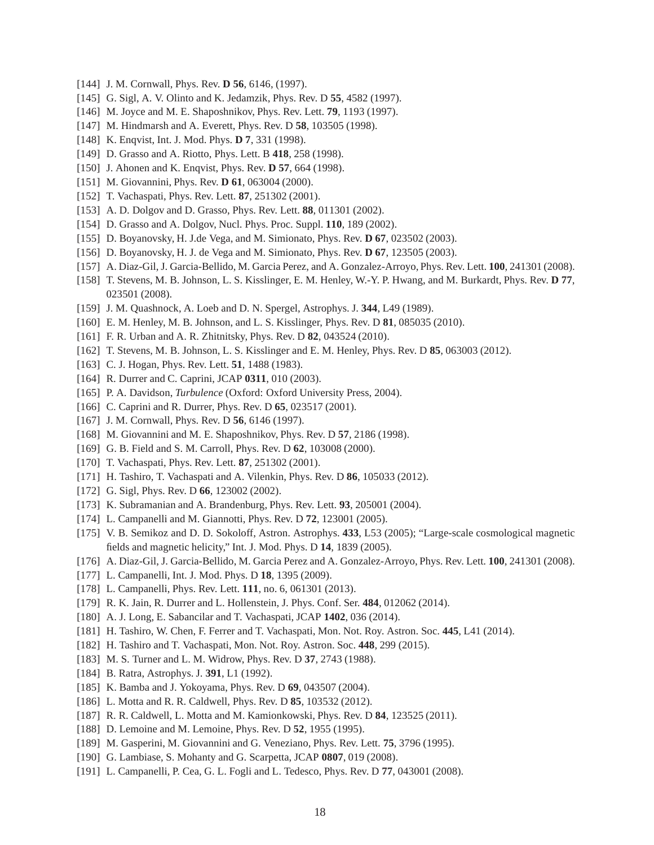- [144] J. M. Cornwall, Phys. Rev. **D 56**, 6146, (1997).
- [145] G. Sigl, A. V. Olinto and K. Jedamzik, Phys. Rev. D **55**, 4582 (1997).
- [146] M. Joyce and M. E. Shaposhnikov, Phys. Rev. Lett. **79**, 1193 (1997).
- [147] M. Hindmarsh and A. Everett, Phys. Rev. D **58**, 103505 (1998).
- [148] K. Enqvist, Int. J. Mod. Phys. **D 7**, 331 (1998).
- [149] D. Grasso and A. Riotto, Phys. Lett. B **418**, 258 (1998).
- [150] J. Ahonen and K. Enqvist, Phys. Rev. **D 57**, 664 (1998).
- [151] M. Giovannini, Phys. Rev. **D 61**, 063004 (2000).
- [152] T. Vachaspati, Phys. Rev. Lett. **87**, 251302 (2001).
- [153] A. D. Dolgov and D. Grasso, Phys. Rev. Lett. **88**, 011301 (2002).
- [154] D. Grasso and A. Dolgov, Nucl. Phys. Proc. Suppl. **110**, 189 (2002).
- [155] D. Boyanovsky, H. J.de Vega, and M. Simionato, Phys. Rev. **D 67**, 023502 (2003).
- [156] D. Boyanovsky, H. J. de Vega and M. Simionato, Phys. Rev. **D 67**, 123505 (2003).
- [157] A. Diaz-Gil, J. Garcia-Bellido, M. Garcia Perez, and A. Gonzalez-Arroyo, Phys. Rev. Lett. **100**, 241301 (2008).
- [158] T. Stevens, M. B. Johnson, L. S. Kisslinger, E. M. Henley, W.-Y. P. Hwang, and M. Burkardt, Phys. Rev. **D 77**, 023501 (2008).
- [159] J. M. Quashnock, A. Loeb and D. N. Spergel, Astrophys. J. **344**, L49 (1989).
- [160] E. M. Henley, M. B. Johnson, and L. S. Kisslinger, Phys. Rev. D **81**, 085035 (2010).
- [161] F. R. Urban and A. R. Zhitnitsky, Phys. Rev. D **82**, 043524 (2010).
- <span id="page-17-0"></span>[162] T. Stevens, M. B. Johnson, L. S. Kisslinger and E. M. Henley, Phys. Rev. D **85**, 063003 (2012).
- <span id="page-17-1"></span>[163] C. J. Hogan, Phys. Rev. Lett. **51**, 1488 (1983).
- <span id="page-17-2"></span>[164] R. Durrer and C. Caprini, JCAP **0311**, 010 (2003).
- <span id="page-17-3"></span>[165] P. A. Davidson, *Turbulence* (Oxford: Oxford University Press, 2004).
- <span id="page-17-4"></span>[166] C. Caprini and R. Durrer, Phys. Rev. D **65**, 023517 (2001).
- <span id="page-17-5"></span>[167] J. M. Cornwall, Phys. Rev. D **56**, 6146 (1997).
- [168] M. Giovannini and M. E. Shaposhnikov, Phys. Rev. D **57**, 2186 (1998).
- [169] G. B. Field and S. M. Carroll, Phys. Rev. D **62**, 103008 (2000).
- [170] T. Vachaspati, Phys. Rev. Lett. **87**, 251302 (2001).
- [171] H. Tashiro, T. Vachaspati and A. Vilenkin, Phys. Rev. D **86**, 105033 (2012).
- [172] G. Sigl, Phys. Rev. D **66**, 123002 (2002).
- [173] K. Subramanian and A. Brandenburg, Phys. Rev. Lett. **93**, 205001 (2004).
- [174] L. Campanelli and M. Giannotti, Phys. Rev. D **72**, 123001 (2005).
- [175] V. B. Semikoz and D. D. Sokoloff, Astron. Astrophys. **433**, L53 (2005); "Large-scale cosmological magnetic fields and magnetic helicity," Int. J. Mod. Phys. D **14**, 1839 (2005).
- [176] A. Diaz-Gil, J. Garcia-Bellido, M. Garcia Perez and A. Gonzalez-Arroyo, Phys. Rev. Lett. **100**, 241301 (2008).
- [177] L. Campanelli, Int. J. Mod. Phys. D **18**, 1395 (2009).
- [178] L. Campanelli, Phys. Rev. Lett. **111**, no. 6, 061301 (2013).
- <span id="page-17-6"></span>[179] R. K. Jain, R. Durrer and L. Hollenstein, J. Phys. Conf. Ser. **484**, 012062 (2014).
- <span id="page-17-7"></span>[180] A. J. Long, E. Sabancilar and T. Vachaspati, JCAP **1402**, 036 (2014).
- <span id="page-17-8"></span>[181] H. Tashiro, W. Chen, F. Ferrer and T. Vachaspati, Mon. Not. Roy. Astron. Soc. **445**, L41 (2014).
- <span id="page-17-9"></span>[182] H. Tashiro and T. Vachaspati, Mon. Not. Roy. Astron. Soc. **448**, 299 (2015).
- <span id="page-17-10"></span>[183] M. S. Turner and L. M. Widrow, Phys. Rev. D **37**, 2743 (1988).
- [184] B. Ratra, Astrophys. J. **391**, L1 (1992).
- [185] K. Bamba and J. Yokoyama, Phys. Rev. D **69**, 043507 (2004).
- [186] L. Motta and R. R. Caldwell, Phys. Rev. D **85**, 103532 (2012).
- [187] R. R. Caldwell, L. Motta and M. Kamionkowski, Phys. Rev. D **84**, 123525 (2011).
- [188] D. Lemoine and M. Lemoine, Phys. Rev. D **52**, 1955 (1995).
- [189] M. Gasperini, M. Giovannini and G. Veneziano, Phys. Rev. Lett. **75**, 3796 (1995).
- [190] G. Lambiase, S. Mohanty and G. Scarpetta, JCAP **0807**, 019 (2008).
- [191] L. Campanelli, P. Cea, G. L. Fogli and L. Tedesco, Phys. Rev. D **77**, 043001 (2008).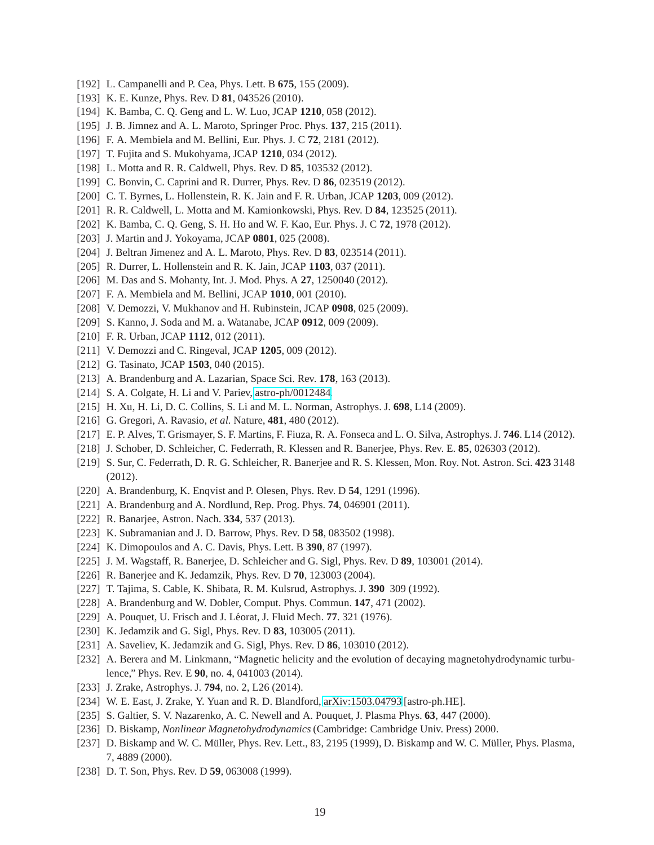- [192] L. Campanelli and P. Cea, Phys. Lett. B **675**, 155 (2009).
- [193] K. E. Kunze, Phys. Rev. D **81**, 043526 (2010).
- [194] K. Bamba, C. Q. Geng and L. W. Luo, JCAP **1210**, 058 (2012).
- [195] J. B. Jimnez and A. L. Maroto, Springer Proc. Phys. **137**, 215 (2011).
- [196] F. A. Membiela and M. Bellini, Eur. Phys. J. C **72**, 2181 (2012).
- [197] T. Fujita and S. Mukohyama, JCAP **1210**, 034 (2012).
- [198] L. Motta and R. R. Caldwell, Phys. Rev. D **85**, 103532 (2012).
- [199] C. Bonvin, C. Caprini and R. Durrer, Phys. Rev. D **86**, 023519 (2012).
- [200] C. T. Byrnes, L. Hollenstein, R. K. Jain and F. R. Urban, JCAP **1203**, 009 (2012).
- [201] R. R. Caldwell, L. Motta and M. Kamionkowski, Phys. Rev. D **84**, 123525 (2011).
- [202] K. Bamba, C. Q. Geng, S. H. Ho and W. F. Kao, Eur. Phys. J. C **72**, 1978 (2012).
- [203] J. Martin and J. Yokoyama, JCAP **0801**, 025 (2008).
- [204] J. Beltran Jimenez and A. L. Maroto, Phys. Rev. D **83**, 023514 (2011).
- [205] R. Durrer, L. Hollenstein and R. K. Jain, JCAP **1103**, 037 (2011).
- [206] M. Das and S. Mohanty, Int. J. Mod. Phys. A **27**, 1250040 (2012).
- <span id="page-18-0"></span>[207] F. A. Membiela and M. Bellini, JCAP **1010**, 001 (2010).
- <span id="page-18-1"></span>[208] V. Demozzi, V. Mukhanov and H. Rubinstein, JCAP **0908**, 025 (2009).
- [209] S. Kanno, J. Soda and M. a. Watanabe, JCAP **0912**, 009 (2009).
- [210] F. R. Urban, JCAP **1112**, 012 (2011).
- <span id="page-18-2"></span>[211] V. Demozzi and C. Ringeval, JCAP **1205**, 009 (2012).
- <span id="page-18-3"></span>[212] G. Tasinato, JCAP **1503**, 040 (2015).
- <span id="page-18-4"></span>[213] A. Brandenburg and A. Lazarian, Space Sci. Rev. **178**, 163 (2013).
- <span id="page-18-5"></span>[214] S. A. Colgate, H. Li and V. Pariev, [astro-ph/0012484.](http://arxiv.org/abs/astro-ph/0012484)
- <span id="page-18-6"></span>[215] H. Xu, H. Li, D. C. Collins, S. Li and M. L. Norman, Astrophys. J. **698**, L14 (2009).
- <span id="page-18-7"></span>[216] G. Gregori, A. Ravasio, *et al.* Nature, **481**, 480 (2012).
- <span id="page-18-8"></span>[217] E. P. Alves, T. Grismayer, S. F. Martins, F. Fiuza, R. A. Fonseca and L. O. Silva, Astrophys. J. **746**. L14 (2012).
- <span id="page-18-9"></span>[218] J. Schober, D. Schleicher, C. Federrath, R. Klessen and R. Banerjee, Phys. Rev. E. **85**, 026303 (2012).
- <span id="page-18-10"></span>[219] S. Sur, C. Federrath, D. R. G. Schleicher, R. Banerjee and R. S. Klessen, Mon. Roy. Not. Astron. Sci. **423** 3148 (2012).
- <span id="page-18-11"></span>[220] A. Brandenburg, K. Enqvist and P. Olesen, Phys. Rev. D **54**, 1291 (1996).
- <span id="page-18-12"></span>[221] A. Brandenburg and A. Nordlund, Rep. Prog. Phys. **74**, 046901 (2011).
- <span id="page-18-13"></span>[222] R. Banarjee, Astron. Nach. **334**, 537 (2013).
- [223] K. Subramanian and J. D. Barrow, Phys. Rev. D **58**, 083502 (1998).
- [224] K. Dimopoulos and A. C. Davis, Phys. Lett. B **390**, 87 (1997).
- [225] J. M. Wagstaff, R. Banerjee, D. Schleicher and G. Sigl, Phys. Rev. D **89**, 103001 (2014).
- <span id="page-18-22"></span>[226] R. Banerjee and K. Jedamzik, Phys. Rev. D **70**, 123003 (2004).
- <span id="page-18-14"></span>[227] T. Tajima, S. Cable, K. Shibata, R. M. Kulsrud, Astrophys. J. **390** 309 (1992).
- <span id="page-18-15"></span>[228] A. Brandenburg and W. Dobler, Comput. Phys. Commun. **147**, 471 (2002).
- <span id="page-18-16"></span>[229] A. Pouquet, U. Frisch and J. Léorat, J. Fluid Mech. **77**. 321 (1976).
- <span id="page-18-17"></span>[230] K. Jedamzik and G. Sigl, Phys. Rev. D **83**, 103005 (2011).
- <span id="page-18-18"></span>[231] A. Saveliev, K. Jedamzik and G. Sigl, Phys. Rev. D **86**, 103010 (2012).
- <span id="page-18-19"></span>[232] A. Berera and M. Linkmann, "Magnetic helicity and the evolution of decaying magnetohydrodynamic turbulence," Phys. Rev. E **90**, no. 4, 041003 (2014).
- [233] J. Zrake, Astrophys. J. **794**, no. 2, L26 (2014).
- <span id="page-18-20"></span>[234] W. E. East, J. Zrake, Y. Yuan and R. D. Blandford, [arXiv:1503.04793](http://arxiv.org/abs/1503.04793) [astro-ph.HE].
- <span id="page-18-21"></span>[235] S. Galtier, S. V. Nazarenko, A. C. Newell and A. Pouquet, J. Plasma Phys. **63**, 447 (2000).
- <span id="page-18-23"></span>[236] D. Biskamp, *Nonlinear Magnetohydrodynamics* (Cambridge: Cambridge Univ. Press) 2000.
- [237] D. Biskamp and W. C. Müller, Phys. Rev. Lett., 83, 2195 (1999), D. Biskamp and W. C. Müller, Phys. Plasma, 7, 4889 (2000).
- <span id="page-18-24"></span>[238] D. T. Son, Phys. Rev. D **59**, 063008 (1999).